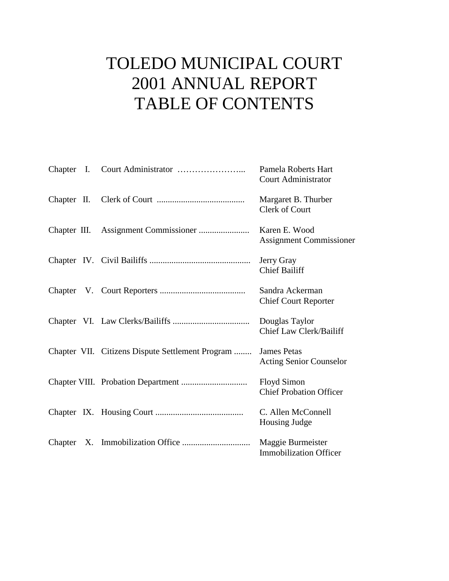# TOLEDO MUNICIPAL COURT 2001 ANNUAL REPORT TABLE OF CONTENTS

|              |                                                  | Pamela Roberts Hart<br><b>Court Administrator</b>    |
|--------------|--------------------------------------------------|------------------------------------------------------|
|              |                                                  | Margaret B. Thurber<br>Clerk of Court                |
| Chapter III. |                                                  | Karen E. Wood<br><b>Assignment Commissioner</b>      |
|              |                                                  | Jerry Gray<br><b>Chief Bailiff</b>                   |
|              |                                                  | Sandra Ackerman<br><b>Chief Court Reporter</b>       |
|              |                                                  | Douglas Taylor<br>Chief Law Clerk/Bailiff            |
|              | Chapter VII. Citizens Dispute Settlement Program | <b>James Petas</b><br><b>Acting Senior Counselor</b> |
|              |                                                  | <b>Floyd Simon</b><br><b>Chief Probation Officer</b> |
|              |                                                  | C. Allen McConnell<br>Housing Judge                  |
|              |                                                  | Maggie Burmeister<br><b>Immobilization Officer</b>   |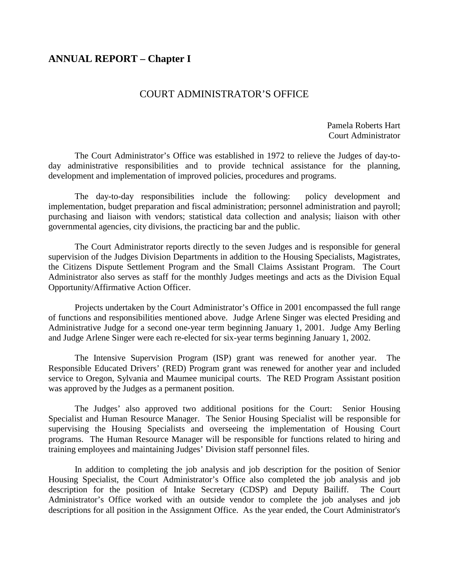# **ANNUAL REPORT – Chapter I**

## COURT ADMINISTRATOR'S OFFICE

Pamela Roberts Hart Court Administrator

 The Court Administrator's Office was established in 1972 to relieve the Judges of day-today administrative responsibilities and to provide technical assistance for the planning, development and implementation of improved policies, procedures and programs.

 The day-to-day responsibilities include the following: policy development and implementation, budget preparation and fiscal administration; personnel administration and payroll; purchasing and liaison with vendors; statistical data collection and analysis; liaison with other governmental agencies, city divisions, the practicing bar and the public.

 The Court Administrator reports directly to the seven Judges and is responsible for general supervision of the Judges Division Departments in addition to the Housing Specialists, Magistrates, the Citizens Dispute Settlement Program and the Small Claims Assistant Program. The Court Administrator also serves as staff for the monthly Judges meetings and acts as the Division Equal Opportunity/Affirmative Action Officer.

 Projects undertaken by the Court Administrator's Office in 2001 encompassed the full range of functions and responsibilities mentioned above. Judge Arlene Singer was elected Presiding and Administrative Judge for a second one-year term beginning January 1, 2001. Judge Amy Berling and Judge Arlene Singer were each re-elected for six-year terms beginning January 1, 2002.

 The Intensive Supervision Program (ISP) grant was renewed for another year. The Responsible Educated Drivers' (RED) Program grant was renewed for another year and included service to Oregon, Sylvania and Maumee municipal courts. The RED Program Assistant position was approved by the Judges as a permanent position.

 The Judges' also approved two additional positions for the Court: Senior Housing Specialist and Human Resource Manager. The Senior Housing Specialist will be responsible for supervising the Housing Specialists and overseeing the implementation of Housing Court programs. The Human Resource Manager will be responsible for functions related to hiring and training employees and maintaining Judges' Division staff personnel files.

 In addition to completing the job analysis and job description for the position of Senior Housing Specialist, the Court Administrator's Office also completed the job analysis and job description for the position of Intake Secretary (CDSP) and Deputy Bailiff. The Court Administrator's Office worked with an outside vendor to complete the job analyses and job descriptions for all position in the Assignment Office. As the year ended, the Court Administrator's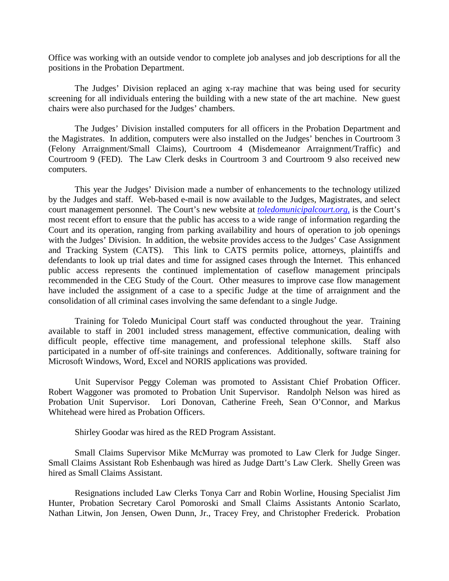Office was working with an outside vendor to complete job analyses and job descriptions for all the positions in the Probation Department.

The Judges' Division replaced an aging x-ray machine that was being used for security screening for all individuals entering the building with a new state of the art machine. New guest chairs were also purchased for the Judges' chambers.

 The Judges' Division installed computers for all officers in the Probation Department and the Magistrates. In addition, computers were also installed on the Judges' benches in Courtroom 3 (Felony Arraignment/Small Claims), Courtroom 4 (Misdemeanor Arraignment/Traffic) and Courtroom 9 (FED). The Law Clerk desks in Courtroom 3 and Courtroom 9 also received new computers.

This year the Judges' Division made a number of enhancements to the technology utilized by the Judges and staff. Web-based e-mail is now available to the Judges, Magistrates, and select court management personnel. The Court's new website at *toledomunicipalcourt.org,* is the Court's most recent effort to ensure that the public has access to a wide range of information regarding the Court and its operation, ranging from parking availability and hours of operation to job openings with the Judges' Division. In addition, the website provides access to the Judges' Case Assignment and Tracking System (CATS). This link to CATS permits police, attorneys, plaintiffs and defendants to look up trial dates and time for assigned cases through the Internet. This enhanced public access represents the continued implementation of caseflow management principals recommended in the CEG Study of the Court. Other measures to improve case flow management have included the assignment of a case to a specific Judge at the time of arraignment and the consolidation of all criminal cases involving the same defendant to a single Judge.

Training for Toledo Municipal Court staff was conducted throughout the year. Training available to staff in 2001 included stress management, effective communication, dealing with difficult people, effective time management, and professional telephone skills. Staff also participated in a number of off-site trainings and conferences. Additionally, software training for Microsoft Windows, Word, Excel and NORIS applications was provided.

Unit Supervisor Peggy Coleman was promoted to Assistant Chief Probation Officer. Robert Waggoner was promoted to Probation Unit Supervisor. Randolph Nelson was hired as Probation Unit Supervisor. Lori Donovan, Catherine Freeh, Sean O'Connor, and Markus Whitehead were hired as Probation Officers.

Shirley Goodar was hired as the RED Program Assistant.

Small Claims Supervisor Mike McMurray was promoted to Law Clerk for Judge Singer. Small Claims Assistant Rob Eshenbaugh was hired as Judge Dartt's Law Clerk. Shelly Green was hired as Small Claims Assistant.

Resignations included Law Clerks Tonya Carr and Robin Worline, Housing Specialist Jim Hunter, Probation Secretary Carol Pomoroski and Small Claims Assistants Antonio Scarlato, Nathan Litwin, Jon Jensen, Owen Dunn, Jr., Tracey Frey, and Christopher Frederick. Probation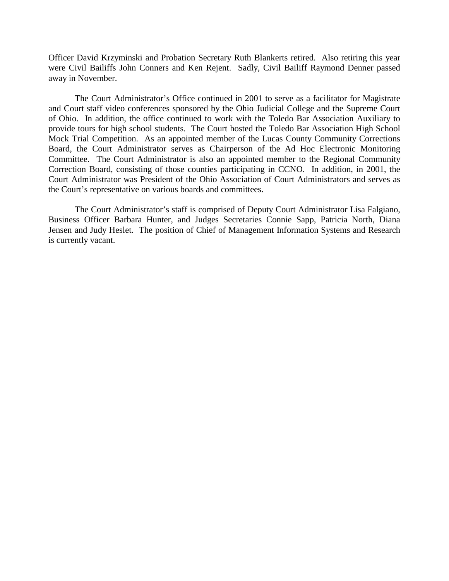Officer David Krzyminski and Probation Secretary Ruth Blankerts retired. Also retiring this year were Civil Bailiffs John Conners and Ken Rejent. Sadly, Civil Bailiff Raymond Denner passed away in November.

The Court Administrator's Office continued in 2001 to serve as a facilitator for Magistrate and Court staff video conferences sponsored by the Ohio Judicial College and the Supreme Court of Ohio. In addition, the office continued to work with the Toledo Bar Association Auxiliary to provide tours for high school students. The Court hosted the Toledo Bar Association High School Mock Trial Competition. As an appointed member of the Lucas County Community Corrections Board, the Court Administrator serves as Chairperson of the Ad Hoc Electronic Monitoring Committee. The Court Administrator is also an appointed member to the Regional Community Correction Board, consisting of those counties participating in CCNO. In addition, in 2001, the Court Administrator was President of the Ohio Association of Court Administrators and serves as the Court's representative on various boards and committees.

The Court Administrator's staff is comprised of Deputy Court Administrator Lisa Falgiano, Business Officer Barbara Hunter, and Judges Secretaries Connie Sapp, Patricia North, Diana Jensen and Judy Heslet. The position of Chief of Management Information Systems and Research is currently vacant.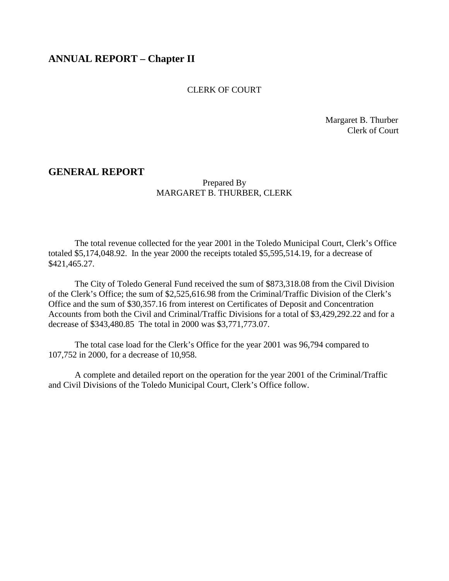# **ANNUAL REPORT – Chapter II**

#### CLERK OF COURT

 Margaret B. Thurber Clerk of Court

#### **GENERAL REPORT**

#### Prepared By MARGARET B. THURBER, CLERK

 The total revenue collected for the year 2001 in the Toledo Municipal Court, Clerk's Office totaled \$5,174,048.92. In the year 2000 the receipts totaled \$5,595,514.19, for a decrease of \$421,465.27.

 The City of Toledo General Fund received the sum of \$873,318.08 from the Civil Division of the Clerk's Office; the sum of \$2,525,616.98 from the Criminal/Traffic Division of the Clerk's Office and the sum of \$30,357.16 from interest on Certificates of Deposit and Concentration Accounts from both the Civil and Criminal/Traffic Divisions for a total of \$3,429,292.22 and for a decrease of \$343,480.85 The total in 2000 was \$3,771,773.07.

 The total case load for the Clerk's Office for the year 2001 was 96,794 compared to 107,752 in 2000, for a decrease of 10,958.

 A complete and detailed report on the operation for the year 2001 of the Criminal/Traffic and Civil Divisions of the Toledo Municipal Court, Clerk's Office follow.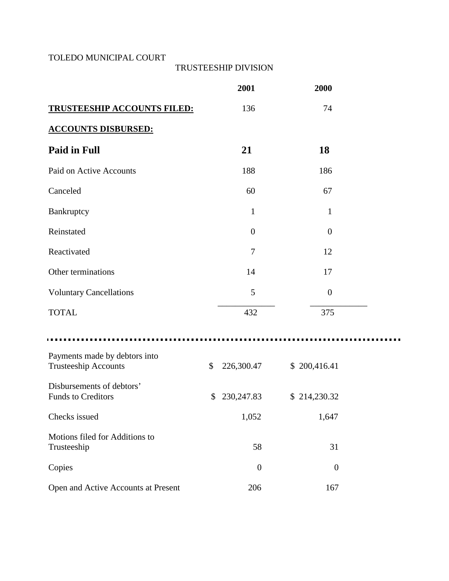## TOLEDO MUNICIPAL COURT

## TRUSTEESHIP DIVISION

|                                                              | 2001              | 2000             |  |
|--------------------------------------------------------------|-------------------|------------------|--|
| <b>TRUSTEESHIP ACCOUNTS FILED:</b>                           | 136               | 74               |  |
| <b>ACCOUNTS DISBURSED:</b>                                   |                   |                  |  |
| <b>Paid in Full</b>                                          | 21                | 18               |  |
| Paid on Active Accounts                                      | 188               | 186              |  |
| Canceled                                                     | 60                | 67               |  |
| Bankruptcy                                                   | $\mathbf{1}$      | $\mathbf{1}$     |  |
| Reinstated                                                   | $\overline{0}$    | $\overline{0}$   |  |
| Reactivated                                                  | 7                 | 12               |  |
| Other terminations                                           | 14                | 17               |  |
| <b>Voluntary Cancellations</b>                               | 5                 | $\boldsymbol{0}$ |  |
| <b>TOTAL</b>                                                 | 432               | 375              |  |
|                                                              |                   |                  |  |
| Payments made by debtors into<br><b>Trusteeship Accounts</b> | \$<br>226,300.47  | \$200,416.41     |  |
| Disbursements of debtors'<br><b>Funds to Creditors</b>       | \$<br>230, 247.83 | \$214,230.32     |  |
| Checks issued                                                | 1,052             | 1,647            |  |
| Motions filed for Additions to<br>Trusteeship                | 58                | 31               |  |
| Copies                                                       | $\boldsymbol{0}$  | $\boldsymbol{0}$ |  |
| Open and Active Accounts at Present                          | 206               | 167              |  |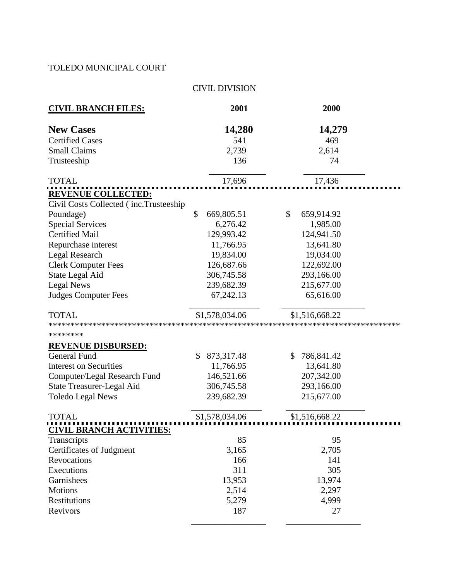# TOLEDO MUNICIPAL COURT

# CIVIL DIVISION

| <b>CIVIL BRANCH FILES:</b>                                          | 2001             | 2000             |
|---------------------------------------------------------------------|------------------|------------------|
| <b>New Cases</b>                                                    | 14,280           | 14,279           |
| <b>Certified Cases</b>                                              | 541              | 469              |
| <b>Small Claims</b>                                                 | 2,739            | 2,614            |
| Trusteeship                                                         | 136              | 74               |
| <b>TOTAL</b>                                                        | 17,696           | 17,436           |
| <b>REVENUE COLLECTED:</b><br>Civil Costs Collected (inc.Trusteeship |                  |                  |
| Poundage)                                                           | \$<br>669,805.51 | \$<br>659,914.92 |
| <b>Special Services</b>                                             | 6,276.42         | 1,985.00         |
| <b>Certified Mail</b>                                               | 129,993.42       | 124,941.50       |
| Repurchase interest                                                 | 11,766.95        | 13,641.80        |
| Legal Research                                                      | 19,834.00        | 19,034.00        |
| <b>Clerk Computer Fees</b>                                          | 126,687.66       | 122,692.00       |
| State Legal Aid                                                     | 306,745.58       | 293,166.00       |
| Legal News                                                          | 239,682.39       | 215,677.00       |
| <b>Judges Computer Fees</b>                                         | 67,242.13        | 65,616.00        |
| <b>TOTAL</b>                                                        | \$1,578,034.06   | \$1,516,668.22   |
| ********                                                            |                  |                  |
| <b>REVENUE DISBURSED:</b>                                           |                  |                  |
| <b>General Fund</b>                                                 | \$<br>873,317.48 | \$<br>786,841.42 |
| <b>Interest on Securities</b>                                       | 11,766.95        | 13,641.80        |
| Computer/Legal Research Fund                                        | 146,521.66       | 207,342.00       |
| <b>State Treasurer-Legal Aid</b>                                    | 306,745.58       | 293,166.00       |
| <b>Toledo Legal News</b>                                            | 239,682.39       | 215,677.00       |
| <b>TOTAL</b>                                                        | \$1,578,034.06   | \$1,516,668.22   |
| <u>CIVIL BRANCH ACTIVITIES:</u>                                     |                  |                  |
| Transcripts                                                         | 85               | 95               |
| Certificates of Judgment                                            | 3,165            | 2,705            |
| Revocations                                                         | 166              | 141              |
| Executions                                                          | 311              | 305              |
| Garnishees                                                          | 13,953           | 13,974           |
| <b>Motions</b>                                                      | 2,514            | 2,297            |
| Restitutions                                                        | 5,279            | 4,999            |
| Revivors                                                            | 187              | 27               |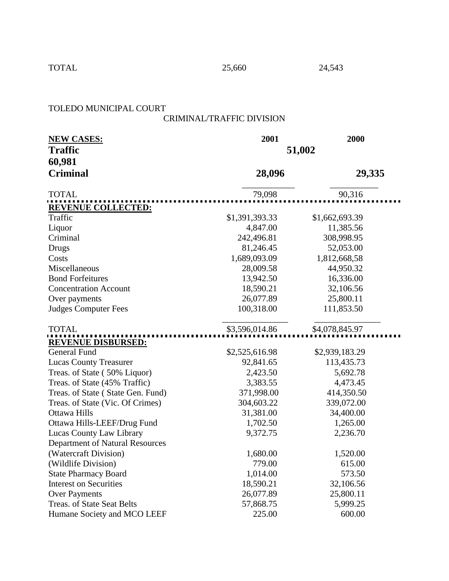TOTAL 25,660 24,543

## TOLEDO MUNICIPAL COURT

# CRIMINAL/TRAFFIC DIVISION

| <b>NEW CASES:</b>                      | 2001           | 2000           |  |  |  |
|----------------------------------------|----------------|----------------|--|--|--|
| <b>Traffic</b>                         | 51,002         |                |  |  |  |
| 60,981                                 |                |                |  |  |  |
| <b>Criminal</b>                        | 28,096         | 29,335         |  |  |  |
| <b>TOTAL</b>                           | 79,098         | 90,316         |  |  |  |
| <b>REVENUE COLLECTED:</b>              |                |                |  |  |  |
| Traffic                                | \$1,391,393.33 | \$1,662,693.39 |  |  |  |
| Liquor                                 | 4,847.00       | 11,385.56      |  |  |  |
| Criminal                               | 242,496.81     | 308,998.95     |  |  |  |
| <b>Drugs</b>                           | 81,246.45      | 52,053.00      |  |  |  |
| Costs                                  | 1,689,093.09   | 1,812,668,58   |  |  |  |
| Miscellaneous                          | 28,009.58      | 44,950.32      |  |  |  |
| <b>Bond Forfeitures</b>                | 13,942.50      | 16,336.00      |  |  |  |
| <b>Concentration Account</b>           | 18,590.21      | 32,106.56      |  |  |  |
| Over payments                          | 26,077.89      | 25,800.11      |  |  |  |
| <b>Judges Computer Fees</b>            | 100,318.00     | 111,853.50     |  |  |  |
| <b>TOTAL</b>                           | \$3,596,014.86 | \$4,078,845.97 |  |  |  |
| <b>REVENUE DISBURSED:</b>              |                |                |  |  |  |
| <b>General Fund</b>                    | \$2,525,616.98 | \$2,939,183.29 |  |  |  |
| <b>Lucas County Treasurer</b>          | 92,841.65      | 113,435.73     |  |  |  |
| Treas. of State (50% Liquor)           | 2,423.50       | 5,692.78       |  |  |  |
| Treas. of State (45% Traffic)          | 3,383.55       | 4,473.45       |  |  |  |
| Treas. of State (State Gen. Fund)      | 371,998.00     | 414,350.50     |  |  |  |
| Treas. of State (Vic. Of Crimes)       | 304,603.22     | 339,072.00     |  |  |  |
| Ottawa Hills                           | 31,381.00      | 34,400.00      |  |  |  |
| Ottawa Hills-LEEF/Drug Fund            | 1,702.50       | 1,265.00       |  |  |  |
| Lucas County Law Library               | 9,372.75       | 2,236.70       |  |  |  |
| <b>Department of Natural Resources</b> |                |                |  |  |  |
| (Watercraft Division)                  | 1,680.00       | 1,520.00       |  |  |  |
| (Wildlife Division)                    | 779.00         | 615.00         |  |  |  |
| <b>State Pharmacy Board</b>            | 1,014.00       | 573.50         |  |  |  |
| <b>Interest on Securities</b>          | 18,590.21      | 32,106.56      |  |  |  |
| <b>Over Payments</b>                   | 26,077.89      | 25,800.11      |  |  |  |
| Treas. of State Seat Belts             | 57,868.75      | 5,999.25       |  |  |  |
| Humane Society and MCO LEEF            | 225.00         | 600.00         |  |  |  |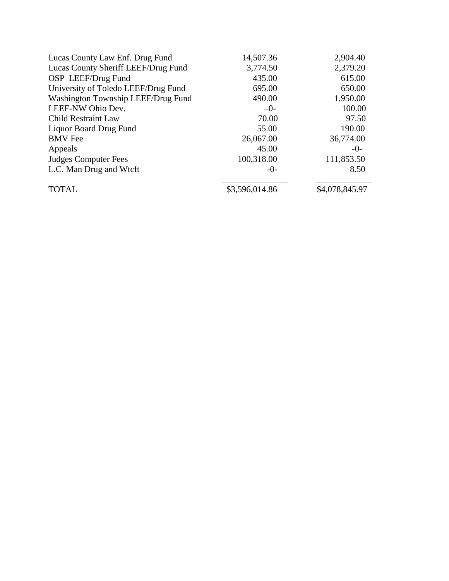| Lucas County Law Enf. Drug Fund     | 14,507.36      | 2,904.40       |
|-------------------------------------|----------------|----------------|
| Lucas County Sheriff LEEF/Drug Fund | 3,774.50       | 2,379.20       |
| OSP LEEF/Drug Fund                  | 435.00         | 615.00         |
| University of Toledo LEEF/Drug Fund | 695.00         | 650.00         |
| Washington Township LEEF/Drug Fund  | 490.00         | 1,950.00       |
| LEEF-NW Ohio Dev.                   | $-0-$          | 100.00         |
| <b>Child Restraint Law</b>          | 70.00          | 97.50          |
| <b>Liquor Board Drug Fund</b>       | 55.00          | 190.00         |
| <b>BMV</b> Fee                      | 26,067.00      | 36,774.00      |
| Appeals                             | 45.00          | $-0-$          |
| Judges Computer Fees                | 100,318.00     | 111,853.50     |
| L.C. Man Drug and Wtcft             | $-0-$          | 8.50           |
| <b>TOTAL</b>                        | \$3,596,014.86 | \$4,078,845.97 |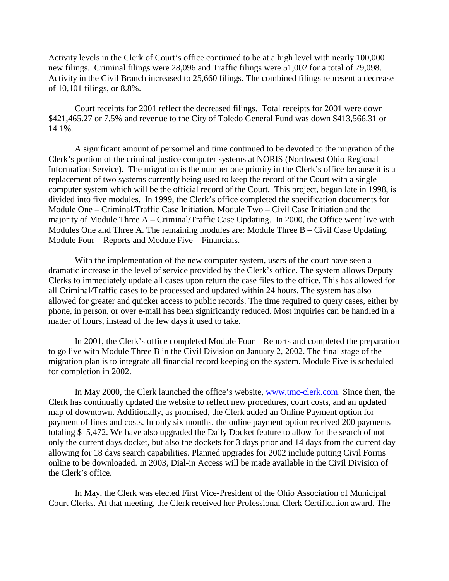Activity levels in the Clerk of Court's office continued to be at a high level with nearly 100,000 new filings. Criminal filings were 28,096 and Traffic filings were 51,002 for a total of 79,098. Activity in the Civil Branch increased to 25,660 filings. The combined filings represent a decrease of 10,101 filings, or 8.8%.

 Court receipts for 2001 reflect the decreased filings. Total receipts for 2001 were down \$421,465.27 or 7.5% and revenue to the City of Toledo General Fund was down \$413,566.31 or 14.1%.

 A significant amount of personnel and time continued to be devoted to the migration of the Clerk's portion of the criminal justice computer systems at NORIS (Northwest Ohio Regional Information Service). The migration is the number one priority in the Clerk's office because it is a replacement of two systems currently being used to keep the record of the Court with a single computer system which will be the official record of the Court. This project, begun late in 1998, is divided into five modules. In 1999, the Clerk's office completed the specification documents for Module One – Criminal/Traffic Case Initiation, Module Two – Civil Case Initiation and the majority of Module Three A – Criminal/Traffic Case Updating. In 2000, the Office went live with Modules One and Three A. The remaining modules are: Module Three B – Civil Case Updating, Module Four – Reports and Module Five – Financials.

 With the implementation of the new computer system, users of the court have seen a dramatic increase in the level of service provided by the Clerk's office. The system allows Deputy Clerks to immediately update all cases upon return the case files to the office. This has allowed for all Criminal/Traffic cases to be processed and updated within 24 hours. The system has also allowed for greater and quicker access to public records. The time required to query cases, either by phone, in person, or over e-mail has been significantly reduced. Most inquiries can be handled in a matter of hours, instead of the few days it used to take.

 In 2001, the Clerk's office completed Module Four – Reports and completed the preparation to go live with Module Three B in the Civil Division on January 2, 2002. The final stage of the migration plan is to integrate all financial record keeping on the system. Module Five is scheduled for completion in 2002.

In May 2000, the Clerk launched the office's website, www.tmc-clerk.com. Since then, the Clerk has continually updated the website to reflect new procedures, court costs, and an updated map of downtown. Additionally, as promised, the Clerk added an Online Payment option for payment of fines and costs. In only six months, the online payment option received 200 payments totaling \$15,472. We have also upgraded the Daily Docket feature to allow for the search of not only the current days docket, but also the dockets for 3 days prior and 14 days from the current day allowing for 18 days search capabilities. Planned upgrades for 2002 include putting Civil Forms online to be downloaded. In 2003, Dial-in Access will be made available in the Civil Division of the Clerk's office.

In May, the Clerk was elected First Vice-President of the Ohio Association of Municipal Court Clerks. At that meeting, the Clerk received her Professional Clerk Certification award. The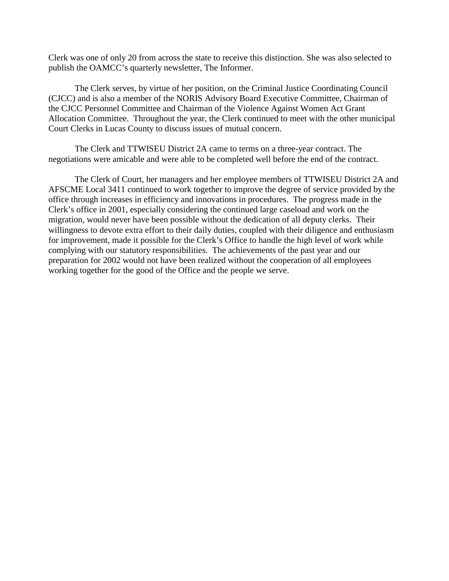Clerk was one of only 20 from across the state to receive this distinction. She was also selected to publish the OAMCC's quarterly newsletter, The Informer.

The Clerk serves, by virtue of her position, on the Criminal Justice Coordinating Council (CJCC) and is also a member of the NORIS Advisory Board Executive Committee, Chairman of the CJCC Personnel Committee and Chairman of the Violence Against Women Act Grant Allocation Committee. Throughout the year, the Clerk continued to meet with the other municipal Court Clerks in Lucas County to discuss issues of mutual concern.

 The Clerk and TTWISEU District 2A came to terms on a three-year contract. The negotiations were amicable and were able to be completed well before the end of the contract.

 The Clerk of Court, her managers and her employee members of TTWISEU District 2A and AFSCME Local 3411 continued to work together to improve the degree of service provided by the office through increases in efficiency and innovations in procedures. The progress made in the Clerk's office in 2001, especially considering the continued large caseload and work on the migration, would never have been possible without the dedication of all deputy clerks. Their willingness to devote extra effort to their daily duties, coupled with their diligence and enthusiasm for improvement, made it possible for the Clerk's Office to handle the high level of work while complying with our statutory responsibilities. The achievements of the past year and our preparation for 2002 would not have been realized without the cooperation of all employees working together for the good of the Office and the people we serve.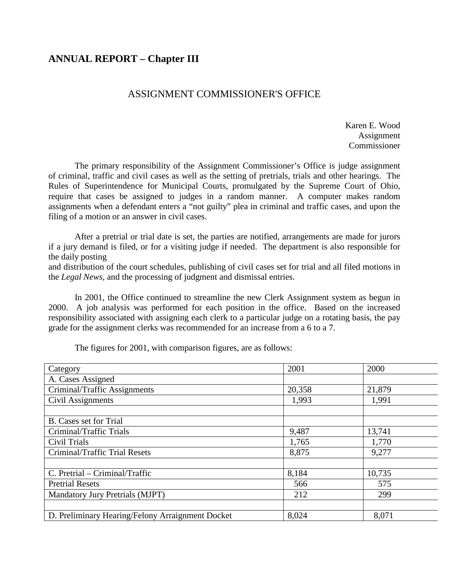# **ANNUAL REPORT – Chapter III**

# ASSIGNMENT COMMISSIONER'S OFFICE

 Karen E. Wood Assignment Commissioner

 The primary responsibility of the Assignment Commissioner's Office is judge assignment of criminal, traffic and civil cases as well as the setting of pretrials, trials and other hearings. The Rules of Superintendence for Municipal Courts, promulgated by the Supreme Court of Ohio, require that cases be assigned to judges in a random manner. A computer makes random assignments when a defendant enters a "not guilty" plea in criminal and traffic cases, and upon the filing of a motion or an answer in civil cases.

 After a pretrial or trial date is set, the parties are notified, arrangements are made for jurors if a jury demand is filed, or for a visiting judge if needed. The department is also responsible for the daily posting

and distribution of the court schedules, publishing of civil cases set for trial and all filed motions in the *Legal News*, and the processing of judgment and dismissal entries.

 In 2001, the Office continued to streamline the new Clerk Assignment system as begun in 2000. A job analysis was performed for each position in the office. Based on the increased responsibility associated with assigning each clerk to a particular judge on a rotating basis, the pay grade for the assignment clerks was recommended for an increase from a 6 to a 7.

Category 2001 2000 A. Cases Assigned Criminal/Traffic Assignments 20,358 21,879 Civil Assignments  $\begin{array}{|c|c|c|c|c|c|c|c|c|} \hline 1,993 & 1,991 \hline \end{array}$ B. Cases set for Trial Criminal/Traffic Trials 13,741 Civil Trials  $\begin{array}{|c|c|c|c|c|c|c|c|c|} \hline 1,765 & & 1,770 \ \hline \end{array}$ Criminal/Traffic Trial Resets 8,875 9,277 C. Pretrial – Criminal/Traffic 8,184 10,735 Pretrial Resets **575 120 and 120 and 120 and 120 and 130 and 130 and 130 and 130 and 130 and 130 and 130 and 130 and 130 and 130 and 130 and 130 and 130 and 130 and 130 and 130 and 130 and 130 and 130 and 130 and 130 and** Mandatory Jury Pretrials (MJPT) 212 299 D. Preliminary Hearing/Felony Arraignment Docket 8,024 8,071

The figures for 2001, with comparison figures, are as follows: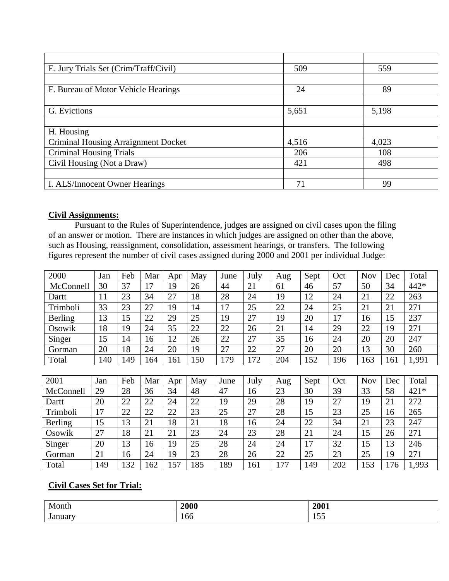| E. Jury Trials Set (Crim/Traff/Civil)      | 509   | 559   |
|--------------------------------------------|-------|-------|
|                                            |       |       |
| F. Bureau of Motor Vehicle Hearings        | 24    | 89    |
|                                            |       |       |
| G. Evictions                               | 5,651 | 5,198 |
|                                            |       |       |
| H. Housing                                 |       |       |
| <b>Criminal Housing Arraignment Docket</b> | 4,516 | 4,023 |
| <b>Criminal Housing Trials</b>             | 206   | 108   |
| Civil Housing (Not a Draw)                 | 421   | 498   |
|                                            |       |       |
| I. ALS/Innocent Owner Hearings             | 71    | 99    |

## **Civil Assignments:**

Pursuant to the Rules of Superintendence, judges are assigned on civil cases upon the filing of an answer or motion. There are instances in which judges are assigned on other than the above, such as Housing, reassignment, consolidation, assessment hearings, or transfers. The following figures represent the number of civil cases assigned during 2000 and 2001 per individual Judge:

| 2000      | Jan | Feb | Mar | Apr | May | June | July | Aug | Sept | Oct | <b>Nov</b> | Dec | Total |
|-----------|-----|-----|-----|-----|-----|------|------|-----|------|-----|------------|-----|-------|
| McConnell | 30  | 37  | 17  | 19  | 26  | 44   | 21   | 61  | 46   | 57  | 50         | 34  | 442*  |
| Dartt     | 11  | 23  | 34  | 27  | 18  | 28   | 24   | 19  | 12   | 24  | 21         | 22  | 263   |
| Trimboli  | 33  | 23  | 27  | 19  | 14  | 17   | 25   | 22  | 24   | 25  | 21         | 21  | 271   |
| Berling   | 13  | 15  | 22  | 29  | 25  | 19   | 27   | 19  | 20   | 17  | 16         | 15  | 237   |
| Osowik    | 18  | 19  | 24  | 35  | 22  | 22   | 26   | 21  | 14   | 29  | 22         | 19  | 271   |
| Singer    | 15  | 14  | 16  | 12  | 26  | 22   | 27   | 35  | 16   | 24  | 20         | 20  | 247   |
| Gorman    | 20  | 18  | 24  | 20  | 19  | 27   | 22   | 27  | 20   | 20  | 13         | 30  | 260   |
| Total     | 140 | 149 | 164 | 161 | 150 | 179  | 172  | 204 | 152  | 196 | 163        | 161 | 1,991 |
|           |     |     |     |     |     |      |      |     |      |     |            |     |       |
| 2001      | Jan | Feb | Mar | Apr | May | June | July | Aug | Sept | Oct | Nov        | Dec | Total |
| McConnell | 29  | 28  | 36  | 34  | 48  | 47   | 16   | 23  | 30   | 39  | 33         | 58  | 421*  |
| Dartt     | 20  | 22  | 22  | 24  | 22  | 19   | 29   | 28  | 19   | 27  | 19         | 21  | 272   |
| Trimboli  | 17  | 22  | 22  | 22  | 23  | 25   | 27   | 28  | 15   | 23  | 25         | 16  | 265   |
| Berling   | 15  | 13  | 21  | 18  | 21  | 18   | 16   | 24  | 22   | 34  | 21         | 23  | 247   |
| Osowik    | 27  | 18  | 21  | 21  | 23  | 24   | 23   | 28  | 21   | 24  | 15         | 26  | 271   |
| Singer    | 20  | 13  | 16  | 19  | 25  | 28   | 24   | 24  | 17   | 32  | 15         | 13  | 246   |
| Gorman    | 21  | 16  | 24  | 19  | 23  | 28   | 26   | 22  | 25   | 23  | 25         | 19  | 271   |
| Total     | 149 | 132 | 162 | 157 | 185 | 189  | 161  | 177 | 149  | 202 | 153        | 176 | 1,993 |

# **Civil Cases Set for Trial:**

| Month  | 2000 | 2001          |
|--------|------|---------------|
| Januar | 100  | $ -$<br>1 J J |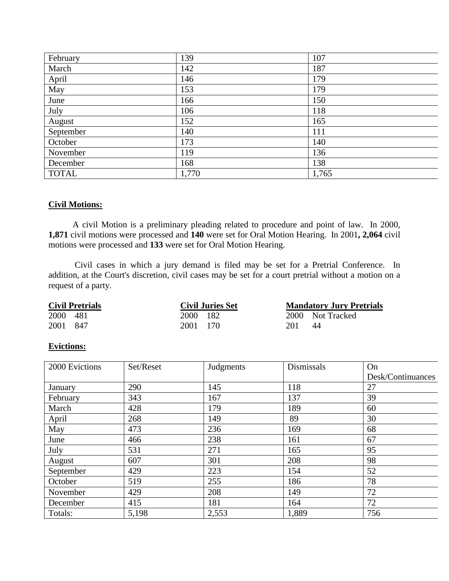| February     | 139   | 107   |
|--------------|-------|-------|
| March        | 142   | 187   |
| April        | 146   | 179   |
| May          | 153   | 179   |
| June         | 166   | 150   |
| July         | 106   | 118   |
| August       | 152   | 165   |
| September    | 140   | 111   |
| October      | 173   | 140   |
| November     | 119   | 136   |
| December     | 168   | 138   |
| <b>TOTAL</b> | 1,770 | 1,765 |

#### **Civil Motions:**

 A civil Motion is a preliminary pleading related to procedure and point of law. In 2000, **1,871** civil motions were processed and **140** were set for Oral Motion Hearing. In 2001**, 2,064** civil motions were processed and **133** were set for Oral Motion Hearing.

 Civil cases in which a jury demand is filed may be set for a Pretrial Conference. In addition, at the Court's discretion, civil cases may be set for a court pretrial without a motion on a request of a party.

| <b>Civil Pretrials</b> |          | <b>Civil Juries Set</b> |     | <b>Mandatory Jury Pretrials</b> |
|------------------------|----------|-------------------------|-----|---------------------------------|
| 2000 481               | 2000 182 |                         |     | 2000 Not Tracked                |
| 2001 847               | 2001 170 |                         | 201 | 44                              |

#### **Evictions:**

| 2000 Evictions | Set/Reset | Judgments | Dismissals | On                |
|----------------|-----------|-----------|------------|-------------------|
|                |           |           |            | Desk/Continuances |
| January        | 290       | 145       | 118        | 27                |
| February       | 343       | 167       | 137        | 39                |
| March          | 428       | 179       | 189        | 60                |
| April          | 268       | 149       | 89         | 30                |
| May            | 473       | 236       | 169        | 68                |
| June           | 466       | 238       | 161        | 67                |
| July           | 531       | 271       | 165        | 95                |
| August         | 607       | 301       | 208        | 98                |
| September      | 429       | 223       | 154        | 52                |
| October        | 519       | 255       | 186        | 78                |
| November       | 429       | 208       | 149        | 72                |
| December       | 415       | 181       | 164        | 72                |
| Totals:        | 5,198     | 2,553     | 1,889      | 756               |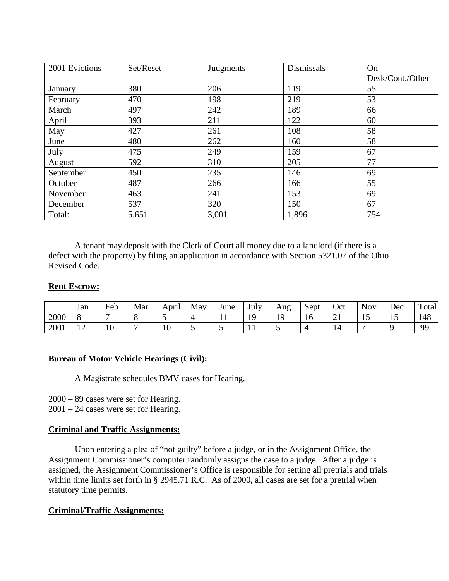| 2001 Evictions | Set/Reset | Judgments | Dismissals | On               |
|----------------|-----------|-----------|------------|------------------|
|                |           |           |            | Desk/Cont./Other |
| January        | 380       | 206       | 119        | 55               |
| February       | 470       | 198       | 219        | 53               |
| March          | 497       | 242       | 189        | 66               |
| April          | 393       | 211       | 122        | 60               |
| May            | 427       | 261       | 108        | 58               |
| June           | 480       | 262       | 160        | 58               |
| July           | 475       | 249       | 159        | 67               |
| August         | 592       | 310       | 205        | 77               |
| September      | 450       | 235       | 146        | 69               |
| October        | 487       | 266       | 166        | 55               |
| November       | 463       | 241       | 153        | 69               |
| December       | 537       | 320       | 150        | 67               |
| Total:         | 5,651     | 3,001     | 1,896      | 754              |

 A tenant may deposit with the Clerk of Court all money due to a landlord (if there is a defect with the property) by filing an application in accordance with Section 5321.07 of the Ohio Revised Code.

#### **Rent Escrow:**

|      | Jan                  | Feb | Mar | $\cdot$ .<br>April | May | June | July                 | Aug<br>c | Sept | Oct      | <b>Nov</b>           | Dec            | Total     |
|------|----------------------|-----|-----|--------------------|-----|------|----------------------|----------|------|----------|----------------------|----------------|-----------|
| 2000 | 8                    |     |     | ັ                  |     | . .  | 1 <sub>0</sub><br>., | .,       | ΙU   | $\sim$ 1 | 1 <sub>c</sub><br>⊥J | $\overline{1}$ | 148       |
| 2001 | 1 <sub>2</sub><br>∸∸ | 10  |     | 10                 |     |      | . .                  |          |      | 14       | -                    |                | <b>QQ</b> |

#### **Bureau of Motor Vehicle Hearings (Civil):**

A Magistrate schedules BMV cases for Hearing.

2000 – 89 cases were set for Hearing.

2001 – 24 cases were set for Hearing.

#### **Criminal and Traffic Assignments:**

 Upon entering a plea of "not guilty" before a judge, or in the Assignment Office, the Assignment Commissioner's computer randomly assigns the case to a judge. After a judge is assigned, the Assignment Commissioner's Office is responsible for setting all pretrials and trials within time limits set forth in § 2945.71 R.C. As of 2000, all cases are set for a pretrial when statutory time permits.

#### **Criminal/Traffic Assignments:**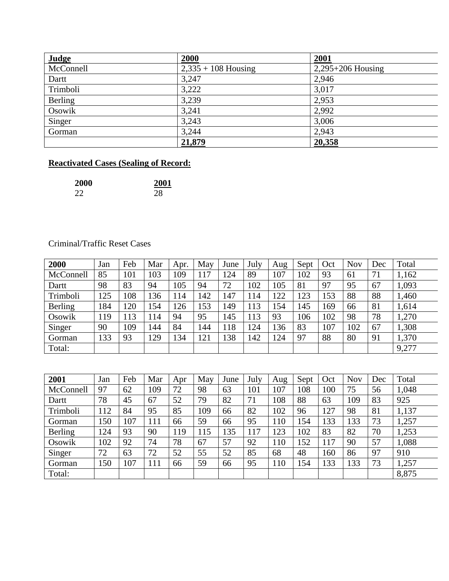| Judge     | 2000                  | 2001                |
|-----------|-----------------------|---------------------|
| McConnell | $2,335 + 108$ Housing | $2,295+206$ Housing |
| Dartt     | 3,247                 | 2,946               |
| Trimboli  | 3,222                 | 3,017               |
| Berling   | 3,239                 | 2,953               |
| Osowik    | 3,241                 | 2,992               |
| Singer    | 3,243                 | 3,006               |
| Gorman    | 3,244                 | 2,943               |
|           | 21,879                | 20,358              |

# **Reactivated Cases (Sealing of Record:**

| 2000 | 2001 |
|------|------|
| 22   | 28   |

## Criminal/Traffic Reset Cases

| 2000      | Jan | Feb | Mar | Apr. | May | June | July | Aug | Sept | Oct | <b>Nov</b> | Dec | Total |
|-----------|-----|-----|-----|------|-----|------|------|-----|------|-----|------------|-----|-------|
| McConnell | 85  | 101 | 103 | 109  | 117 | 124  | 89   | 107 | 102  | 93  | 61         | 71  | 1,162 |
| Dartt     | 98  | 83  | 94  | 105  | 94  | 72   | 102  | 105 | 81   | 97  | 95         | 67  | 1,093 |
| Trimboli  | 125 | 108 | 136 | 114  | 142 | 147  | 114  | 122 | 123  | 153 | 88         | 88  | 1,460 |
| Berling   | 184 | 120 | 154 | 126  | 153 | 149  | 113  | 154 | 145  | 169 | 66         | 81  | 1,614 |
| Osowik    | 119 | 113 | 114 | 94   | 95  | 145  | 113  | 93  | 106  | 102 | 98         | 78  | 1,270 |
| Singer    | 90  | 109 | 144 | 84   | 144 | 118  | 124  | 136 | 83   | 107 | 102        | 67  | 1,308 |
| Gorman    | 133 | 93  | 129 | 134  | 121 | 138  | 142  | 124 | 97   | 88  | 80         | 91  | 1,370 |
| Total:    |     |     |     |      |     |      |      |     |      |     |            |     | 9,277 |
|           |     |     |     |      |     |      |      |     |      |     |            |     |       |
| 2001      | Jan | Feb | Mar | Apr  | May | June | July | Aug | Sept | Oct | <b>Nov</b> | Dec | Total |
| McConnell | 97  | 62  | 109 | 72   | 98  | 63   | 101  | 107 | 108  | 100 | 75         | 56  | 1,048 |
| Dartt     | 78  | 45  | 67  | 52   | 79  | 82   | 71   | 108 | 88   | 63  | 109        | 83  | 925   |
| Trimboli  | 112 | 84  | 95  | 85   | 109 | 66   | 82   | 102 | 96   | 127 | 98         | 81  | 1,137 |
| Gorman    | 150 | 107 | 111 | 66   | 59  | 66   | 95   | 110 | 154  | 133 | 133        | 73  | 1,257 |

Berling | 124 | 93 | 90 | 119 | 115 | 135 | 117 | 123 | 102 | 83 | 82 | 70 | 1,253 Osowik 102 92 74 78 67 57 92 110 152 117 90 57 1,088 Singer | 72 | 63 | 72 | 52 | 55 | 52 | 85 | 68 | 48 | 160 | 86 | 97 | 910 Gorman | 150 | 107 | 111 | 66 | 59 | 66 | 95 | 110 | 154 | 133 | 133 | 73 | 1,257 Total: 8,875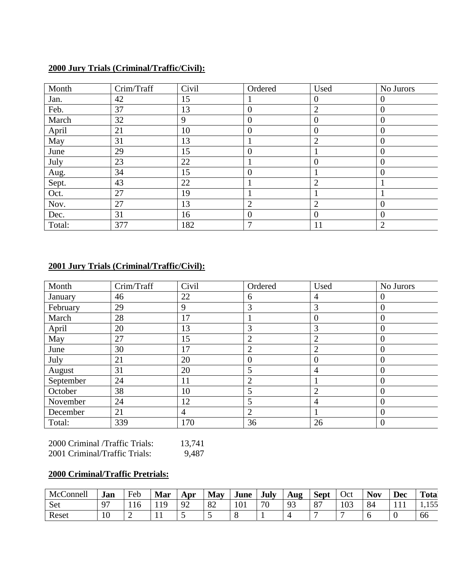## **2000 Jury Trials (Criminal/Traffic/Civil):**

| Month  | Crim/Traff | Civil | Ordered        | Used             | No Jurors      |
|--------|------------|-------|----------------|------------------|----------------|
| Jan.   | 42         | 15    |                | $\boldsymbol{0}$ | $\theta$       |
| Feb.   | 37         | 13    | 0              | $\overline{2}$   | $\mathbf{0}$   |
| March  | 32         | 9     | $\theta$       | $\overline{0}$   | $\overline{0}$ |
| April  | 21         | 10    | $\theta$       | $\theta$         | $\overline{0}$ |
| May    | 31         | 13    |                | 2                | $\overline{0}$ |
| June   | 29         | 15    | $\overline{0}$ |                  | $\mathbf{0}$   |
| July   | 23         | 22    |                | $\theta$         | $\mathbf{0}$   |
| Aug.   | 34         | 15    | $\Omega$       |                  | $\overline{0}$ |
| Sept.  | 43         | 22    |                | $\overline{2}$   |                |
| Oct.   | 27         | 19    |                |                  |                |
| Nov.   | 27         | 13    | റ              | $\overline{2}$   | $\mathbf{0}$   |
| Dec.   | 31         | 16    | $\theta$       | $\overline{0}$   | $\overline{0}$ |
| Total: | 377        | 182   | 7              | 11               | 2              |

# **2001 Jury Trials (Criminal/Traffic/Civil):**

| Month     | Crim/Traff | Civil          | Ordered        | Used           | No Jurors        |
|-----------|------------|----------------|----------------|----------------|------------------|
| January   | 46         | 22             | 6              | $\overline{4}$ | $\overline{0}$   |
| February  | 29         | 9              | 3              | 3              | $\overline{0}$   |
| March     | 28         | 17             |                | $\theta$       | $\boldsymbol{0}$ |
| April     | 20         | 13             | 3              | 3              | $\overline{0}$   |
| May       | 27         | 15             | $\overline{2}$ | $\overline{2}$ | $\overline{0}$   |
| June      | 30         | 17             | $\overline{2}$ | $\overline{2}$ | $\overline{0}$   |
| July      | 21         | 20             | $\overline{0}$ | $\overline{0}$ | $\overline{0}$   |
| August    | 31         | 20             | 5              | $\overline{4}$ | $\overline{0}$   |
| September | 24         | 11             | $\overline{2}$ |                | $\overline{0}$   |
| October   | 38         | 10             | 5              | $\overline{2}$ | $\overline{0}$   |
| November  | 24         | 12             | 5              | $\overline{4}$ | $\overline{0}$   |
| December  | 21         | $\overline{4}$ | 2              |                | $\overline{0}$   |
| Total:    | 339        | 170            | 36             | 26             | $\overline{0}$   |

| 2000 Criminal /Traffic Trials: | 13,741 |
|--------------------------------|--------|
| 2001 Criminal/Traffic Trials:  | 9,487  |

# **2000 Criminal/Traffic Pretrials:**

| Connell<br>McCo | Jan | Feb | Mar | Apr           | May | June | July | Aug | <b>Sept</b>                        | Oct | <b>Nov</b> | <b>Dec</b> | Total        |
|-----------------|-----|-----|-----|---------------|-----|------|------|-----|------------------------------------|-----|------------|------------|--------------|
| Set             | 07  | 110 | 10  | $\Omega$<br>╯ | 82  | 101  | 70   | ാ   | O <sub>7</sub><br>$\mathbf{\circ}$ | 103 | 84         |            | トくく<br>1,199 |
| Reset           | ΙU  |     |     | ັ             | ~   |      |      |     |                                    |     |            |            | ხხ           |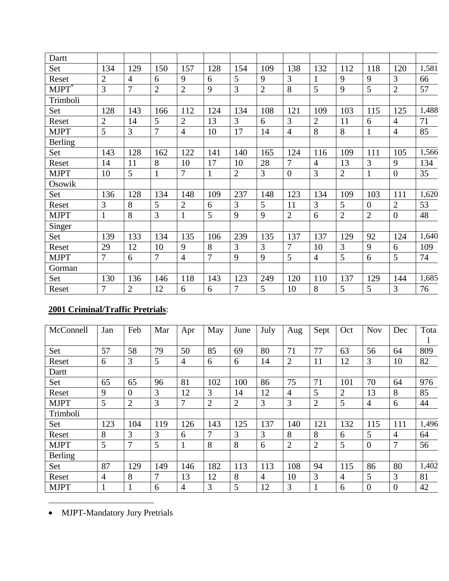| Dartt             |                |                |                |                |                |                |                |                |                |                |                |                |       |
|-------------------|----------------|----------------|----------------|----------------|----------------|----------------|----------------|----------------|----------------|----------------|----------------|----------------|-------|
| Set               | 134            | 129            | 150            | 157            | 128            | 154            | 109            | 138            | 132            | 112            | 118            | 120            | 1,581 |
| Reset             | $\overline{2}$ | 4              | 6              | 9              | 6              | 5              | 9              | 3              |                | 9              | 9              | 3              | 66    |
| MJPT <sup>*</sup> | 3              | 7              | $\overline{2}$ | $\overline{2}$ | 9              | 3              | $\overline{2}$ | 8              | 5              | 9              | 5              | $\overline{2}$ | 57    |
| Trimboli          |                |                |                |                |                |                |                |                |                |                |                |                |       |
| Set               | 128            | 143            | 166            | 112            | 124            | 134            | 108            | 121            | 109            | 103            | 115            | 125            | 1,488 |
| Reset             | $\overline{2}$ | 14             | 5              | $\overline{2}$ | 13             | 3              | 6              | 3              | $\overline{2}$ | 11             | 6              | $\overline{4}$ | 71    |
| <b>MJPT</b>       | 5              | 3              | $\overline{7}$ | $\overline{4}$ | 10             | 17             | 14             | $\overline{4}$ | 8              | 8              | $\mathbf{1}$   | $\overline{4}$ | 85    |
| <b>Berling</b>    |                |                |                |                |                |                |                |                |                |                |                |                |       |
| Set               | 143            | 128            | 162            | 122            | 141            | 140            | 165            | 124            | 116            | 109            | 111            | 105            | 1,566 |
| Reset             | 14             | 11             | 8              | 10             | 17             | 10             | 28             | 7              | $\overline{4}$ | 13             | 3              | 9              | 134   |
| <b>MJPT</b>       | 10             | 5              |                | 7              | $\mathbf{1}$   | $\overline{2}$ | 3              | $\overline{0}$ | 3              | $\overline{2}$ | $\mathbf{1}$   | $\theta$       | 35    |
| Osowik            |                |                |                |                |                |                |                |                |                |                |                |                |       |
| Set               | 136            | 128            | 134            | 148            | 109            | 237            | 148            | 123            | 134            | 109            | 103            | 111            | 1,620 |
| Reset             | 3              | 8              | 5              | $\overline{2}$ | 6              | 3              | 5              | 11             | 3              | 5              | $\overline{0}$ | $\overline{2}$ | 53    |
| <b>MJPT</b>       | $\mathbf{1}$   | 8              | 3              | $\mathbf{1}$   | 5              | 9              | 9              | $\overline{2}$ | 6              | $\overline{2}$ | $\overline{2}$ | $\overline{0}$ | 48    |
| Singer            |                |                |                |                |                |                |                |                |                |                |                |                |       |
| Set               | 139            | 133            | 134            | 135            | 106            | 239            | 135            | 137            | 137            | 129            | 92             | 124            | 1,640 |
| Reset             | 29             | 12             | 10             | 9              | 8              | 3              | 3              | 7              | 10             | 3              | 9              | 6              | 109   |
| <b>MJPT</b>       | 7              | 6              | 7              | $\overline{4}$ | $\overline{7}$ | 9              | 9              | 5              | $\overline{4}$ | 5              | 6              | 5              | 74    |
| Gorman            |                |                |                |                |                |                |                |                |                |                |                |                |       |
| Set               | 130            | 136            | 146            | 118            | 143            | 123            | 249            | 120            | 110            | 137            | 129            | 144            | 1,685 |
| Reset             | 7              | $\overline{2}$ | 12             | 6              | 6              | $\overline{7}$ | 5              | 10             | 8              | 5              | 5              | 3              | 76    |

# **2001 Criminal/Traffic Pretrials**:

| McConnell      | Jan            | Feb            | Mar            | Apr            | May            | June           | July           | Aug            | Sept           | Oct            | <b>Nov</b>     | Dec            | Tota  |
|----------------|----------------|----------------|----------------|----------------|----------------|----------------|----------------|----------------|----------------|----------------|----------------|----------------|-------|
|                |                |                |                |                |                |                |                |                |                |                |                |                |       |
| Set            | 57             | 58             | 79             | 50             | 85             | 69             | 80             | 71             | 77             | 63             | 56             | 64             | 809   |
| Reset          | 6              | 3              | 5              | 4              | 6              | 6              | 14             | $\overline{2}$ | 11             | 12             | 3              | 10             | 82    |
| Dartt          |                |                |                |                |                |                |                |                |                |                |                |                |       |
| Set            | 65             | 65             | 96             | 81             | 102            | 100            | 86             | 75             | 71             | 101            | 70             | 64             | 976   |
| Reset          | 9              | $\Omega$       | 3              | 12             | 3              | 14             | 12             | $\overline{4}$ | 5              | $\overline{2}$ | 13             | 8              | 85    |
| <b>MJPT</b>    | 5              | $\overline{2}$ | 3              | 7              | $\overline{2}$ | $\overline{2}$ | 3              | 3              | $\overline{2}$ | 5              | $\overline{4}$ | 6              | 44    |
| Trimboli       |                |                |                |                |                |                |                |                |                |                |                |                |       |
| Set            | 123            | 104            | 119            | 126            | 143            | 125            | 137            | 140            | 121            | 132            | 115            | 111            | 1,496 |
| Reset          | 8              | 3              | 3              | 6              | 7              | 3              | 3              | 8              | 8              | 6              | 5              | 4              | 64    |
| <b>MJPT</b>    | 5              | 7              | 5              | 1              | 8              | 8              | 6              | $\overline{2}$ | $\overline{2}$ | 5              | $\overline{0}$ | 7              | 56    |
| <b>Berling</b> |                |                |                |                |                |                |                |                |                |                |                |                |       |
| Set            | 87             | 129            | 149            | 146            | 182            | 113            | 113            | 108            | 94             | 115            | 86             | 80             | 1,402 |
| Reset          | $\overline{4}$ | 8              | $\overline{7}$ | 13             | 12             | 8              | $\overline{4}$ | 10             | 3              | $\overline{4}$ | 5              | 3              | 81    |
| <b>MJPT</b>    | -1             | 1              | 6              | $\overline{4}$ | 3              | 5              | 12             | 3              |                | 6              | $\overline{0}$ | $\overline{0}$ | 42    |

• MJPT-Mandatory Jury Pretrials

 $\overline{a}$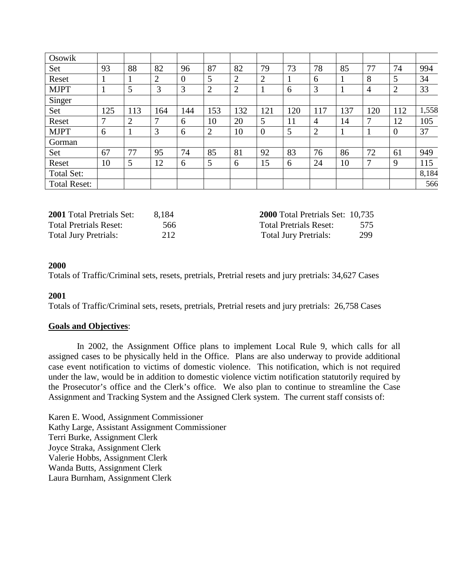| Osowik              |              |                |              |                  |     |     |                |     |                |     |                |                |       |
|---------------------|--------------|----------------|--------------|------------------|-----|-----|----------------|-----|----------------|-----|----------------|----------------|-------|
| Set                 | 93           | 88             | 82           | 96               | 87  | 82  | 79             | 73  | 78             | 85  | 77             | 74             | 994   |
| Reset               |              |                | 2            | $\boldsymbol{0}$ | 5   | 2   | $\overline{2}$ |     | 6              |     | 8              | 5              | 34    |
| <b>MJPT</b>         |              | 5              | 3            | 3                | 2   | 2   |                | 6   | 3              |     | $\overline{4}$ | $\overline{2}$ | 33    |
| Singer              |              |                |              |                  |     |     |                |     |                |     |                |                |       |
| Set                 | 125          | 113            | 164          | 144              | 153 | 132 | 121            | 120 | 117            | 137 | 120            | 112            | 1,558 |
| Reset               | $\mathbf{r}$ | $\overline{2}$ | $\mathbf{7}$ | 6                | 10  | 20  | 5              | 11  | $\overline{4}$ | 14  | 7              | 12             | 105   |
| <b>MJPT</b>         | 6            |                | 3            | 6                | 2   | 10  | $\overline{0}$ | 5   | 2              |     |                | $\overline{0}$ | 37    |
| Gorman              |              |                |              |                  |     |     |                |     |                |     |                |                |       |
| Set                 | 67           | 77             | 95           | 74               | 85  | 81  | 92             | 83  | 76             | 86  | 72             | 61             | 949   |
| Reset               | 10           | 5              | 12           | 6                | 5   | 6   | 15             | 6   | 24             | 10  | 7              | 9              | 115   |
| Total Set:          |              |                |              |                  |     |     |                |     |                |     |                |                | 8,184 |
| <b>Total Reset:</b> |              |                |              |                  |     |     |                |     |                |     |                |                | 566   |

| <b>2001</b> Total Pretrials Set: | 8.184 | <b>2000</b> Total Pretrials Set: 10,735 |     |
|----------------------------------|-------|-----------------------------------------|-----|
| <b>Total Pretrials Reset:</b>    | 566   | <b>Total Pretrials Reset:</b>           | 575 |
| <b>Total Jury Pretrials:</b>     | 212   | <b>Total Jury Pretrials:</b>            | 299 |

#### **2000**

Totals of Traffic/Criminal sets, resets, pretrials, Pretrial resets and jury pretrials: 34,627 Cases

#### **2001**

Totals of Traffic/Criminal sets, resets, pretrials, Pretrial resets and jury pretrials: 26,758 Cases

#### **Goals and Objectives**:

 In 2002, the Assignment Office plans to implement Local Rule 9, which calls for all assigned cases to be physically held in the Office. Plans are also underway to provide additional case event notification to victims of domestic violence. This notification, which is not required under the law, would be in addition to domestic violence victim notification statutorily required by the Prosecutor's office and the Clerk's office. We also plan to continue to streamline the Case Assignment and Tracking System and the Assigned Clerk system. The current staff consists of:

Karen E. Wood, Assignment Commissioner Kathy Large, Assistant Assignment Commissioner Terri Burke, Assignment Clerk Joyce Straka, Assignment Clerk Valerie Hobbs, Assignment Clerk Wanda Butts, Assignment Clerk Laura Burnham, Assignment Clerk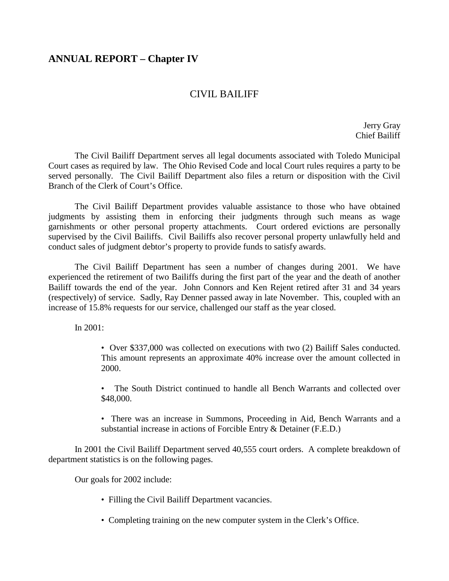# **ANNUAL REPORT – Chapter IV**

# CIVIL BAILIFF

 Jerry Gray Chief Bailiff

 The Civil Bailiff Department serves all legal documents associated with Toledo Municipal Court cases as required by law. The Ohio Revised Code and local Court rules requires a party to be served personally. The Civil Bailiff Department also files a return or disposition with the Civil Branch of the Clerk of Court's Office.

 The Civil Bailiff Department provides valuable assistance to those who have obtained judgments by assisting them in enforcing their judgments through such means as wage garnishments or other personal property attachments. Court ordered evictions are personally supervised by the Civil Bailiffs. Civil Bailiffs also recover personal property unlawfully held and conduct sales of judgment debtor's property to provide funds to satisfy awards.

 The Civil Bailiff Department has seen a number of changes during 2001. We have experienced the retirement of two Bailiffs during the first part of the year and the death of another Bailiff towards the end of the year. John Connors and Ken Rejent retired after 31 and 34 years (respectively) of service. Sadly, Ray Denner passed away in late November. This, coupled with an increase of 15.8% requests for our service, challenged our staff as the year closed.

In 2001:

• Over \$337,000 was collected on executions with two (2) Bailiff Sales conducted. This amount represents an approximate 40% increase over the amount collected in 2000.

• The South District continued to handle all Bench Warrants and collected over \$48,000.

• There was an increase in Summons, Proceeding in Aid, Bench Warrants and a substantial increase in actions of Forcible Entry & Detainer (F.E.D.)

 In 2001 the Civil Bailiff Department served 40,555 court orders. A complete breakdown of department statistics is on the following pages.

Our goals for 2002 include:

- Filling the Civil Bailiff Department vacancies.
- Completing training on the new computer system in the Clerk's Office.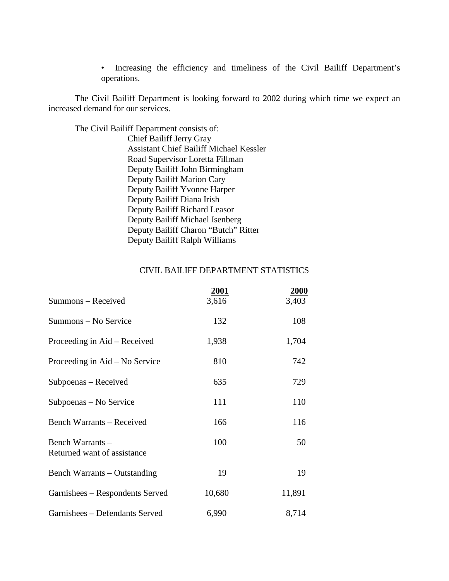• Increasing the efficiency and timeliness of the Civil Bailiff Department's operations.

 The Civil Bailiff Department is looking forward to 2002 during which time we expect an increased demand for our services.

The Civil Bailiff Department consists of:

Chief Bailiff Jerry Gray Assistant Chief Bailiff Michael Kessler Road Supervisor Loretta Fillman Deputy Bailiff John Birmingham Deputy Bailiff Marion Cary Deputy Bailiff Yvonne Harper Deputy Bailiff Diana Irish Deputy Bailiff Richard Leasor Deputy Bailiff Michael Isenberg Deputy Bailiff Charon "Butch" Ritter Deputy Bailiff Ralph Williams

## CIVIL BAILIFF DEPARTMENT STATISTICS

|                                                 | <b>2001</b> | <b>2000</b> |
|-------------------------------------------------|-------------|-------------|
| Summons - Received                              | 3,616       | 3,403       |
| Summons - No Service                            | 132         | 108         |
| Proceeding in Aid – Received                    | 1,938       | 1,704       |
| Proceeding in Aid – No Service                  | 810         | 742         |
| Subpoenas – Received                            | 635         | 729         |
| Subpoenas – No Service                          | 111         | 110         |
| <b>Bench Warrants - Received</b>                | 166         | 116         |
| Bench Warrants -<br>Returned want of assistance | 100         | 50          |
| Bench Warrants – Outstanding                    | 19          | 19          |
| Garnishees – Respondents Served                 | 10,680      | 11,891      |
| Garnishees - Defendants Served                  | 6,990       | 8,714       |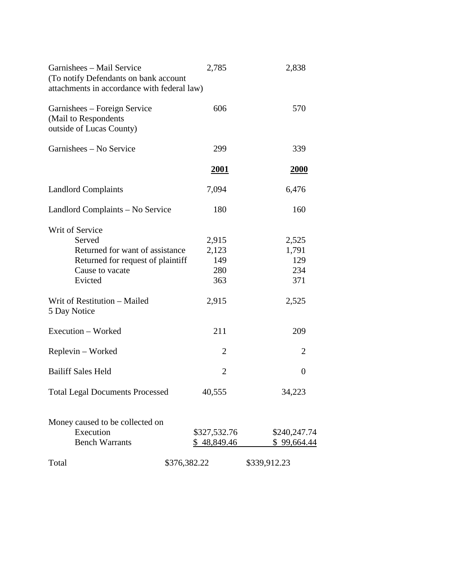| Garnishees – Mail Service<br>(To notify Defendants on bank account<br>attachments in accordance with federal law)               | 2,785                               | 2,838                               |
|---------------------------------------------------------------------------------------------------------------------------------|-------------------------------------|-------------------------------------|
| Garnishees – Foreign Service<br>(Mail to Respondents<br>outside of Lucas County)                                                | 606                                 | 570                                 |
| Garnishees - No Service                                                                                                         | 299                                 | 339                                 |
|                                                                                                                                 | <b>2001</b>                         | <u>2000</u>                         |
| <b>Landlord Complaints</b>                                                                                                      | 7,094                               | 6,476                               |
| Landlord Complaints – No Service                                                                                                | 180                                 | 160                                 |
| Writ of Service<br>Served<br>Returned for want of assistance<br>Returned for request of plaintiff<br>Cause to vacate<br>Evicted | 2,915<br>2,123<br>149<br>280<br>363 | 2,525<br>1,791<br>129<br>234<br>371 |
| Writ of Restitution - Mailed<br>5 Day Notice                                                                                    | 2,915                               | 2,525                               |
| Execution - Worked                                                                                                              | 211                                 | 209                                 |
| Replevin – Worked                                                                                                               | $\overline{2}$                      | 2                                   |
| <b>Bailiff Sales Held</b>                                                                                                       | $\overline{2}$                      | $\overline{0}$                      |
| <b>Total Legal Documents Processed</b>                                                                                          | 40,555                              | 34,223                              |
| Money caused to be collected on<br>Execution<br><b>Bench Warrants</b>                                                           | \$327,532.76<br>\$48,849.46         | \$240,247.74<br>\$99,664.44         |
| \$376,382.22<br>Total                                                                                                           |                                     | \$339,912.23                        |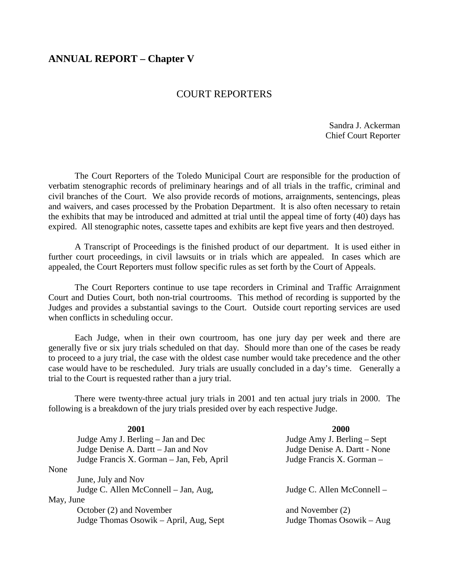## **ANNUAL REPORT – Chapter V**

## COURT REPORTERS

 Sandra J. Ackerman Chief Court Reporter

 The Court Reporters of the Toledo Municipal Court are responsible for the production of verbatim stenographic records of preliminary hearings and of all trials in the traffic, criminal and civil branches of the Court. We also provide records of motions, arraignments, sentencings, pleas and waivers, and cases processed by the Probation Department. It is also often necessary to retain the exhibits that may be introduced and admitted at trial until the appeal time of forty (40) days has expired. All stenographic notes, cassette tapes and exhibits are kept five years and then destroyed.

A Transcript of Proceedings is the finished product of our department. It is used either in further court proceedings, in civil lawsuits or in trials which are appealed. In cases which are appealed, the Court Reporters must follow specific rules as set forth by the Court of Appeals.

 The Court Reporters continue to use tape recorders in Criminal and Traffic Arraignment Court and Duties Court, both non-trial courtrooms. This method of recording is supported by the Judges and provides a substantial savings to the Court. Outside court reporting services are used when conflicts in scheduling occur.

 Each Judge, when in their own courtroom, has one jury day per week and there are generally five or six jury trials scheduled on that day. Should more than one of the cases be ready to proceed to a jury trial, the case with the oldest case number would take precedence and the other case would have to be rescheduled. Jury trials are usually concluded in a day's time. Generally a trial to the Court is requested rather than a jury trial.

 There were twenty-three actual jury trials in 2001 and ten actual jury trials in 2000. The following is a breakdown of the jury trials presided over by each respective Judge.

|           | 2001                                      | 2000                         |
|-----------|-------------------------------------------|------------------------------|
|           | Judge Amy J. Berling – Jan and Dec        | Judge Amy J. Berling – Sept  |
|           | Judge Denise A. Dartt - Jan and Nov       | Judge Denise A. Dartt - None |
|           | Judge Francis X. Gorman - Jan, Feb, April | Judge Francis X. Gorman -    |
| None      |                                           |                              |
|           | June, July and Nov                        |                              |
|           | Judge C. Allen McConnell – Jan, Aug,      | Judge C. Allen McConnell –   |
| May, June |                                           |                              |
|           | October (2) and November                  | and November (2)             |
|           | Judge Thomas Osowik – April, Aug, Sept    | Judge Thomas Osowik – Aug    |
|           |                                           |                              |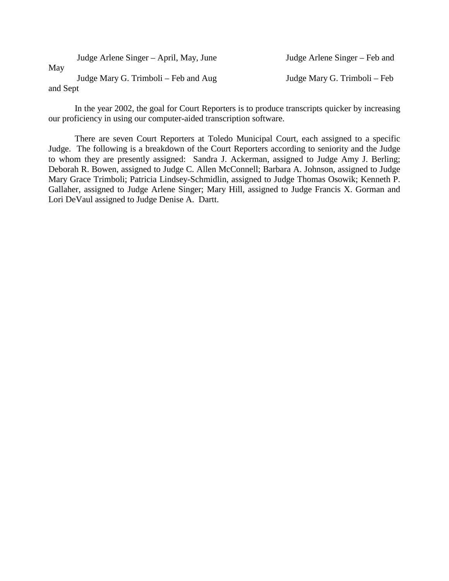| May      | Judge Arlene Singer – April, May, June | Judge Arlene Singer – Feb and |
|----------|----------------------------------------|-------------------------------|
|          | Judge Mary G. Trimboli – Feb and Aug   | Judge Mary G. Trimboli – Feb  |
| and Sept |                                        |                               |

 In the year 2002, the goal for Court Reporters is to produce transcripts quicker by increasing our proficiency in using our computer-aided transcription software.

 There are seven Court Reporters at Toledo Municipal Court, each assigned to a specific Judge. The following is a breakdown of the Court Reporters according to seniority and the Judge to whom they are presently assigned: Sandra J. Ackerman, assigned to Judge Amy J. Berling; Deborah R. Bowen, assigned to Judge C. Allen McConnell; Barbara A. Johnson, assigned to Judge Mary Grace Trimboli; Patricia Lindsey-Schmidlin, assigned to Judge Thomas Osowik; Kenneth P. Gallaher, assigned to Judge Arlene Singer; Mary Hill, assigned to Judge Francis X. Gorman and Lori DeVaul assigned to Judge Denise A. Dartt.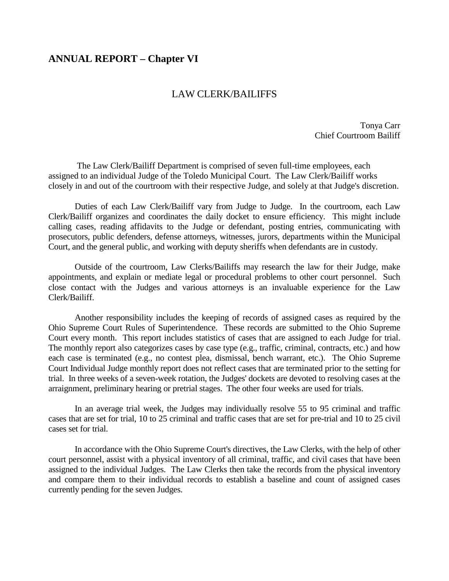## **ANNUAL REPORT – Chapter VI**

## LAW CLERK/BAILIFFS

Tonya Carr Chief Courtroom Bailiff

 The Law Clerk/Bailiff Department is comprised of seven full-time employees, each assigned to an individual Judge of the Toledo Municipal Court. The Law Clerk/Bailiff works closely in and out of the courtroom with their respective Judge, and solely at that Judge's discretion.

 Duties of each Law Clerk/Bailiff vary from Judge to Judge. In the courtroom, each Law Clerk/Bailiff organizes and coordinates the daily docket to ensure efficiency. This might include calling cases, reading affidavits to the Judge or defendant, posting entries, communicating with prosecutors, public defenders, defense attorneys, witnesses, jurors, departments within the Municipal Court, and the general public, and working with deputy sheriffs when defendants are in custody.

 Outside of the courtroom, Law Clerks/Bailiffs may research the law for their Judge, make appointments, and explain or mediate legal or procedural problems to other court personnel. Such close contact with the Judges and various attorneys is an invaluable experience for the Law Clerk/Bailiff.

 Another responsibility includes the keeping of records of assigned cases as required by the Ohio Supreme Court Rules of Superintendence. These records are submitted to the Ohio Supreme Court every month. This report includes statistics of cases that are assigned to each Judge for trial. The monthly report also categorizes cases by case type (e.g., traffic, criminal, contracts, etc.) and how each case is terminated (e.g., no contest plea, dismissal, bench warrant, etc.). The Ohio Supreme Court Individual Judge monthly report does not reflect cases that are terminated prior to the setting for trial. In three weeks of a seven-week rotation, the Judges' dockets are devoted to resolving cases at the arraignment, preliminary hearing or pretrial stages. The other four weeks are used for trials.

 In an average trial week, the Judges may individually resolve 55 to 95 criminal and traffic cases that are set for trial, 10 to 25 criminal and traffic cases that are set for pre-trial and 10 to 25 civil cases set for trial.

 In accordance with the Ohio Supreme Court's directives, the Law Clerks, with the help of other court personnel, assist with a physical inventory of all criminal, traffic, and civil cases that have been assigned to the individual Judges. The Law Clerks then take the records from the physical inventory and compare them to their individual records to establish a baseline and count of assigned cases currently pending for the seven Judges.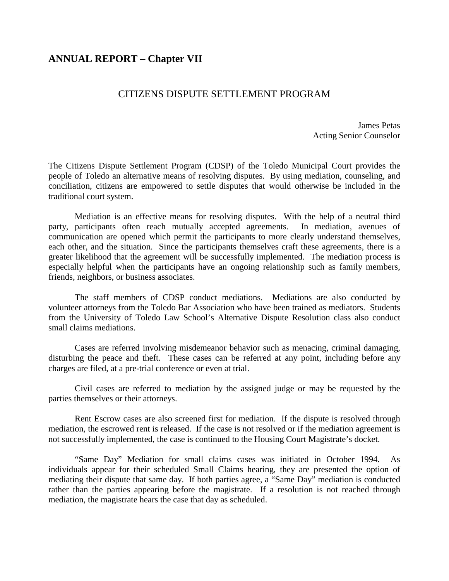# **ANNUAL REPORT – Chapter VII**

# CITIZENS DISPUTE SETTLEMENT PROGRAM

James Petas Acting Senior Counselor

The Citizens Dispute Settlement Program (CDSP) of the Toledo Municipal Court provides the people of Toledo an alternative means of resolving disputes. By using mediation, counseling, and conciliation, citizens are empowered to settle disputes that would otherwise be included in the traditional court system.

 Mediation is an effective means for resolving disputes. With the help of a neutral third party, participants often reach mutually accepted agreements. In mediation, avenues of communication are opened which permit the participants to more clearly understand themselves, each other, and the situation. Since the participants themselves craft these agreements, there is a greater likelihood that the agreement will be successfully implemented. The mediation process is especially helpful when the participants have an ongoing relationship such as family members, friends, neighbors, or business associates.

 The staff members of CDSP conduct mediations. Mediations are also conducted by volunteer attorneys from the Toledo Bar Association who have been trained as mediators. Students from the University of Toledo Law School's Alternative Dispute Resolution class also conduct small claims mediations.

 Cases are referred involving misdemeanor behavior such as menacing, criminal damaging, disturbing the peace and theft. These cases can be referred at any point, including before any charges are filed, at a pre-trial conference or even at trial.

 Civil cases are referred to mediation by the assigned judge or may be requested by the parties themselves or their attorneys.

 Rent Escrow cases are also screened first for mediation. If the dispute is resolved through mediation, the escrowed rent is released. If the case is not resolved or if the mediation agreement is not successfully implemented, the case is continued to the Housing Court Magistrate's docket.

 "Same Day" Mediation for small claims cases was initiated in October 1994. As individuals appear for their scheduled Small Claims hearing, they are presented the option of mediating their dispute that same day. If both parties agree, a "Same Day" mediation is conducted rather than the parties appearing before the magistrate. If a resolution is not reached through mediation, the magistrate hears the case that day as scheduled.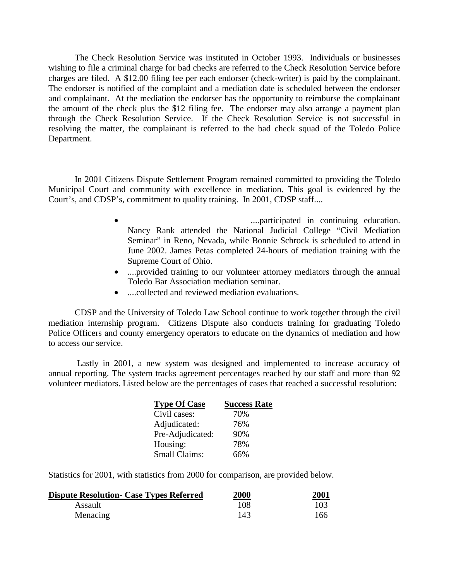The Check Resolution Service was instituted in October 1993. Individuals or businesses wishing to file a criminal charge for bad checks are referred to the Check Resolution Service before charges are filed. A \$12.00 filing fee per each endorser (check-writer) is paid by the complainant. The endorser is notified of the complaint and a mediation date is scheduled between the endorser and complainant. At the mediation the endorser has the opportunity to reimburse the complainant the amount of the check plus the \$12 filing fee. The endorser may also arrange a payment plan through the Check Resolution Service. If the Check Resolution Service is not successful in resolving the matter, the complainant is referred to the bad check squad of the Toledo Police Department.

 In 2001 Citizens Dispute Settlement Program remained committed to providing the Toledo Municipal Court and community with excellence in mediation. This goal is evidenced by the Court's, and CDSP's, commitment to quality training. In 2001, CDSP staff....

- ....participated in continuing education. Nancy Rank attended the National Judicial College "Civil Mediation Seminar" in Reno, Nevada, while Bonnie Schrock is scheduled to attend in June 2002. James Petas completed 24-hours of mediation training with the Supreme Court of Ohio.
- ....provided training to our volunteer attorney mediators through the annual Toledo Bar Association mediation seminar.
- ....collected and reviewed mediation evaluations.

 CDSP and the University of Toledo Law School continue to work together through the civil mediation internship program. Citizens Dispute also conducts training for graduating Toledo Police Officers and county emergency operators to educate on the dynamics of mediation and how to access our service.

 Lastly in 2001, a new system was designed and implemented to increase accuracy of annual reporting. The system tracks agreement percentages reached by our staff and more than 92 volunteer mediators. Listed below are the percentages of cases that reached a successful resolution:

| <b>Type Of Case</b>  | <b>Success Rate</b> |
|----------------------|---------------------|
| Civil cases:         | 70%                 |
| Adjudicated:         | 76%                 |
| Pre-Adjudicated:     | 90%                 |
| Housing:             | 78%                 |
| <b>Small Claims:</b> | 66%                 |

Statistics for 2001, with statistics from 2000 for comparison, are provided below.

| <b>Dispute Resolution- Case Types Referred</b> | 2000 | 2001<br>$\sim$ $\sim$ |
|------------------------------------------------|------|-----------------------|
| Assault                                        | 108  | 103                   |
| Menacing                                       | 143  | 166                   |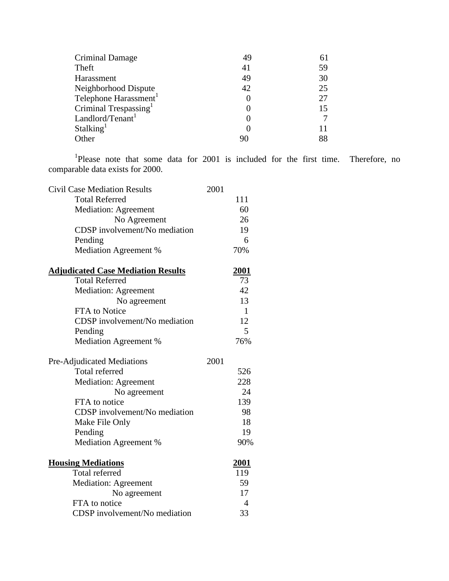| 49 |    |
|----|----|
| 41 | 59 |
| 49 | 30 |
| 42 | 25 |
|    | 27 |
|    |    |
|    |    |
|    |    |
|    | 88 |
|    |    |

<sup>1</sup>Please note that some data for 2001 is included for the first time. Therefore, no comparable data exists for 2000.

| <b>Civil Case Mediation Results</b>       | 2001 |              |
|-------------------------------------------|------|--------------|
| <b>Total Referred</b>                     |      | 111          |
| Mediation: Agreement                      |      | 60           |
| No Agreement                              |      | 26           |
| CDSP involvement/No mediation             |      | 19           |
| Pending                                   |      | 6            |
| Mediation Agreement %                     |      | 70%          |
| <b>Adjudicated Case Mediation Results</b> |      | 2001         |
| <b>Total Referred</b>                     |      | 73           |
| <b>Mediation: Agreement</b>               |      | 42           |
| No agreement                              |      | 13           |
| FTA to Notice                             |      | $\mathbf{1}$ |
| CDSP involvement/No mediation             |      | 12           |
| Pending                                   |      | 5            |
| Mediation Agreement %                     |      | 76%          |
|                                           |      |              |
| Pre-Adjudicated Mediations                | 2001 |              |
| <b>Total referred</b>                     |      | 526          |
| <b>Mediation: Agreement</b>               |      | 228          |
| No agreement                              |      | 24           |
| FTA to notice                             |      | 139          |
| CDSP involvement/No mediation             |      | 98           |
| Make File Only                            |      | 18           |
| Pending                                   |      | 19           |
| Mediation Agreement %                     |      | 90%          |
| <b>Housing Mediations</b>                 |      | <u>2001</u>  |
| Total referred                            |      | 119          |
| <b>Mediation: Agreement</b>               |      | 59           |
| No agreement                              |      | 17           |
| FTA to notice                             |      | 4            |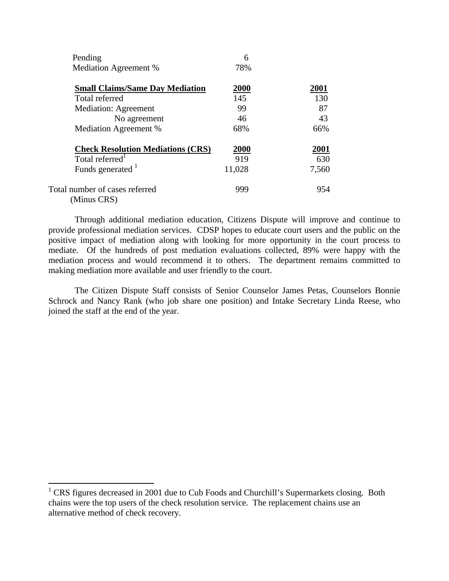| Pending                                       | 6      |       |
|-----------------------------------------------|--------|-------|
| Mediation Agreement %                         | 78%    |       |
| <b>Small Claims/Same Day Mediation</b>        | 2000   | 2001  |
| Total referred                                | 145    | 130   |
| <b>Mediation: Agreement</b>                   | 99     | 87    |
| No agreement                                  | 46     | 43    |
| <b>Mediation Agreement %</b>                  | 68%    | 66%   |
| <b>Check Resolution Mediations (CRS)</b>      | 2000   | 2001  |
| Total referred <sup>1</sup>                   | 919    | 630   |
| Funds generated <sup>1</sup>                  | 11,028 | 7,560 |
| Total number of cases referred<br>(Minus CRS) | 999    | 954   |

 Through additional mediation education, Citizens Dispute will improve and continue to provide professional mediation services. CDSP hopes to educate court users and the public on the positive impact of mediation along with looking for more opportunity in the court process to mediate. Of the hundreds of post mediation evaluations collected, 89% were happy with the mediation process and would recommend it to others. The department remains committed to making mediation more available and user friendly to the court.

 The Citizen Dispute Staff consists of Senior Counselor James Petas, Counselors Bonnie Schrock and Nancy Rank (who job share one position) and Intake Secretary Linda Reese, who joined the staff at the end of the year.

 $\overline{a}$ 

<sup>&</sup>lt;sup>1</sup> CRS figures decreased in 2001 due to Cub Foods and Churchill's Supermarkets closing. Both chains were the top users of the check resolution service. The replacement chains use an alternative method of check recovery.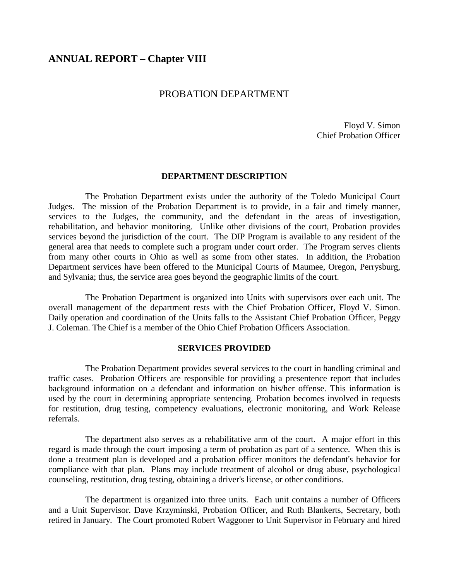## **ANNUAL REPORT – Chapter VIII**

## PROBATION DEPARTMENT

 Floyd V. Simon Chief Probation Officer

#### **DEPARTMENT DESCRIPTION**

 The Probation Department exists under the authority of the Toledo Municipal Court Judges. The mission of the Probation Department is to provide, in a fair and timely manner, services to the Judges, the community, and the defendant in the areas of investigation, rehabilitation, and behavior monitoring. Unlike other divisions of the court, Probation provides services beyond the jurisdiction of the court. The DIP Program is available to any resident of the general area that needs to complete such a program under court order. The Program serves clients from many other courts in Ohio as well as some from other states. In addition, the Probation Department services have been offered to the Municipal Courts of Maumee, Oregon, Perrysburg, and Sylvania; thus, the service area goes beyond the geographic limits of the court.

 The Probation Department is organized into Units with supervisors over each unit. The overall management of the department rests with the Chief Probation Officer, Floyd V. Simon. Daily operation and coordination of the Units falls to the Assistant Chief Probation Officer, Peggy J. Coleman. The Chief is a member of the Ohio Chief Probation Officers Association.

#### **SERVICES PROVIDED**

 The Probation Department provides several services to the court in handling criminal and traffic cases. Probation Officers are responsible for providing a presentence report that includes background information on a defendant and information on his/her offense. This information is used by the court in determining appropriate sentencing. Probation becomes involved in requests for restitution, drug testing, competency evaluations, electronic monitoring, and Work Release referrals.

 The department also serves as a rehabilitative arm of the court. A major effort in this regard is made through the court imposing a term of probation as part of a sentence. When this is done a treatment plan is developed and a probation officer monitors the defendant's behavior for compliance with that plan. Plans may include treatment of alcohol or drug abuse, psychological counseling, restitution, drug testing, obtaining a driver's license, or other conditions.

 The department is organized into three units. Each unit contains a number of Officers and a Unit Supervisor. Dave Krzyminski, Probation Officer, and Ruth Blankerts, Secretary, both retired in January. The Court promoted Robert Waggoner to Unit Supervisor in February and hired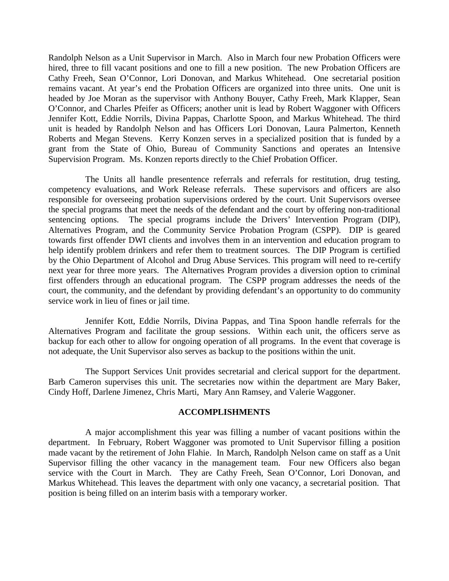Randolph Nelson as a Unit Supervisor in March. Also in March four new Probation Officers were hired, three to fill vacant positions and one to fill a new position. The new Probation Officers are Cathy Freeh, Sean O'Connor, Lori Donovan, and Markus Whitehead. One secretarial position remains vacant. At year's end the Probation Officers are organized into three units. One unit is headed by Joe Moran as the supervisor with Anthony Bouyer, Cathy Freeh, Mark Klapper, Sean O'Connor, and Charles Pfeifer as Officers; another unit is lead by Robert Waggoner with Officers Jennifer Kott, Eddie Norrils, Divina Pappas, Charlotte Spoon, and Markus Whitehead. The third unit is headed by Randolph Nelson and has Officers Lori Donovan, Laura Palmerton, Kenneth Roberts and Megan Stevens. Kerry Konzen serves in a specialized position that is funded by a grant from the State of Ohio, Bureau of Community Sanctions and operates an Intensive Supervision Program. Ms. Konzen reports directly to the Chief Probation Officer.

 The Units all handle presentence referrals and referrals for restitution, drug testing, competency evaluations, and Work Release referrals. These supervisors and officers are also responsible for overseeing probation supervisions ordered by the court. Unit Supervisors oversee the special programs that meet the needs of the defendant and the court by offering non-traditional sentencing options. The special programs include the Drivers' Intervention Program (DIP), Alternatives Program, and the Community Service Probation Program (CSPP). DIP is geared towards first offender DWI clients and involves them in an intervention and education program to help identify problem drinkers and refer them to treatment sources. The DIP Program is certified by the Ohio Department of Alcohol and Drug Abuse Services. This program will need to re-certify next year for three more years. The Alternatives Program provides a diversion option to criminal first offenders through an educational program. The CSPP program addresses the needs of the court, the community, and the defendant by providing defendant's an opportunity to do community service work in lieu of fines or jail time.

 Jennifer Kott, Eddie Norrils, Divina Pappas, and Tina Spoon handle referrals for the Alternatives Program and facilitate the group sessions. Within each unit, the officers serve as backup for each other to allow for ongoing operation of all programs. In the event that coverage is not adequate, the Unit Supervisor also serves as backup to the positions within the unit.

 The Support Services Unit provides secretarial and clerical support for the department. Barb Cameron supervises this unit. The secretaries now within the department are Mary Baker, Cindy Hoff, Darlene Jimenez, Chris Marti, Mary Ann Ramsey, and Valerie Waggoner.

#### **ACCOMPLISHMENTS**

 A major accomplishment this year was filling a number of vacant positions within the department. In February, Robert Waggoner was promoted to Unit Supervisor filling a position made vacant by the retirement of John Flahie. In March, Randolph Nelson came on staff as a Unit Supervisor filling the other vacancy in the management team. Four new Officers also began service with the Court in March. They are Cathy Freeh, Sean O'Connor, Lori Donovan, and Markus Whitehead. This leaves the department with only one vacancy, a secretarial position. That position is being filled on an interim basis with a temporary worker.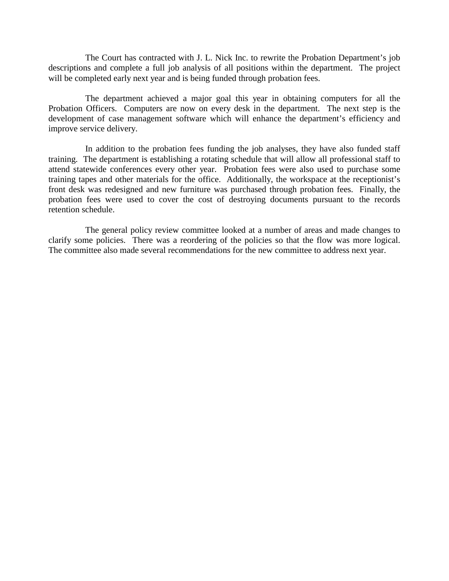The Court has contracted with J. L. Nick Inc. to rewrite the Probation Department's job descriptions and complete a full job analysis of all positions within the department. The project will be completed early next year and is being funded through probation fees.

 The department achieved a major goal this year in obtaining computers for all the Probation Officers. Computers are now on every desk in the department. The next step is the development of case management software which will enhance the department's efficiency and improve service delivery.

 In addition to the probation fees funding the job analyses, they have also funded staff training. The department is establishing a rotating schedule that will allow all professional staff to attend statewide conferences every other year. Probation fees were also used to purchase some training tapes and other materials for the office. Additionally, the workspace at the receptionist's front desk was redesigned and new furniture was purchased through probation fees. Finally, the probation fees were used to cover the cost of destroying documents pursuant to the records retention schedule.

 The general policy review committee looked at a number of areas and made changes to clarify some policies. There was a reordering of the policies so that the flow was more logical. The committee also made several recommendations for the new committee to address next year.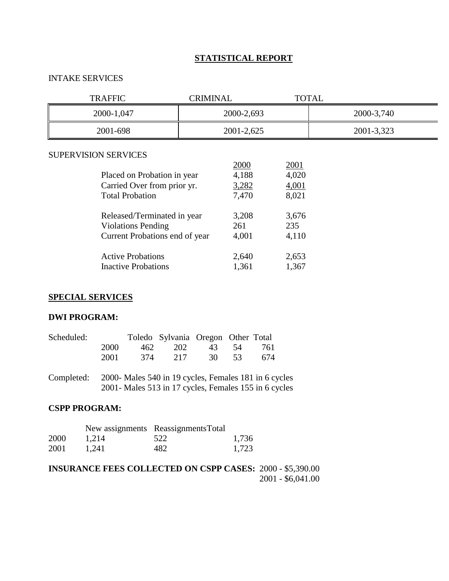## **STATISTICAL REPORT**

## INTAKE SERVICES

| <b>TRAFFIC</b>                                             | <b>CRIMINAL</b> |                | <b>TOTAL</b>   |            |
|------------------------------------------------------------|-----------------|----------------|----------------|------------|
| 2000-1,047                                                 |                 | 2000-2,693     |                | 2000-3,740 |
| 2001-698                                                   |                 | 2001-2,625     |                | 2001-3,323 |
| <b>SUPERVISION SERVICES</b>                                |                 | 2000           | 2001           |            |
| Placed on Probation in year<br>Carried Over from prior yr. |                 | 4,188<br>3,282 | 4,020<br>4,001 |            |
| <b>Total Probation</b>                                     |                 | 7,470          | 8,021          |            |
| Released/Terminated in year                                |                 | 3,208          | 3,676          |            |
| <b>Violations Pending</b>                                  |                 | 261            | 235            |            |
| Current Probations end of year                             |                 | 4,001          | 4,110          |            |
| <b>Active Probations</b>                                   |                 | 2,640          | 2,653          |            |
| <b>Inactive Probations</b>                                 |                 | 1,361          | 1,367          |            |

## **SPECIAL SERVICES**

#### **DWI PROGRAM:**

| Scheduled: |      |      | Toledo Sylvania Oregon Other Total |               |     |
|------------|------|------|------------------------------------|---------------|-----|
|            | 2000 | 462. |                                    | 202 43 54 761 |     |
|            | 2001 | 374  | 2.17                               | 30 53         | 674 |

Completed: 2000- Males 540 in 19 cycles, Females 181 in 6 cycles 2001- Males 513 in 17 cycles, Females 155 in 6 cycles

## **CSPP PROGRAM:**

|      |       | New assignments Reassignments Total |       |
|------|-------|-------------------------------------|-------|
| 2000 | 1.214 | 522                                 | 1,736 |
| 2001 | 1.241 | 482                                 | 1,723 |

**INSURANCE FEES COLLECTED ON CSPP CASES:** 2000 - \$5,390.00 2001 - \$6,041.00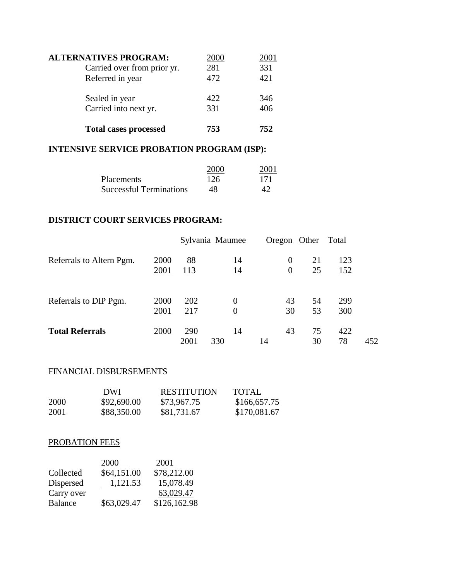| <b>ALTERNATIVES PROGRAM:</b> | 2000 | 2001 |
|------------------------------|------|------|
| Carried over from prior yr.  | 281  | 331  |
| Referred in year             | 472  | 421  |
| Sealed in year               | 422  | 346  |
| Carried into next yr.        | 331  | 406  |
| <b>Total cases processed</b> | 753  | 752  |

# **INTENSIVE SERVICE PROBATION PROGRAM (ISP):**

|                                | 2000 | 2001 |
|--------------------------------|------|------|
| <b>Placements</b>              | 126  | 171  |
| <b>Successful Terminations</b> | 48   |      |

## **DISTRICT COURT SERVICES PROGRAM:**

|                          |      | Sylvania Maumee |     |                  |                | Oregon Other | Total |     |
|--------------------------|------|-----------------|-----|------------------|----------------|--------------|-------|-----|
| Referrals to Altern Pgm. | 2000 | 88              |     | 14               | 0              | 21           | 123   |     |
|                          | 2001 | 113             |     | 14               | $\overline{0}$ | 25           | 152   |     |
| Referrals to DIP Pgm.    | 2000 | 202             |     | $\boldsymbol{0}$ | 43             | 54           | 299   |     |
|                          | 2001 | 217             |     | $\boldsymbol{0}$ | 30             | 53           | 300   |     |
| <b>Total Referrals</b>   | 2000 | 290             |     | 14               | 43             | 75           | 422   |     |
|                          |      | 2001            | 330 |                  | 14             | 30           | 78    | 452 |

## FINANCIAL DISBURSEMENTS

|      | DWL         | <b>RESTITUTION</b> | <b>TOTAL</b> |
|------|-------------|--------------------|--------------|
| 2000 | \$92,690.00 | \$73,967.75        | \$166,657.75 |
| 2001 | \$88,350.00 | \$81,731.67        | \$170,081.67 |

## PROBATION FEES

|                | 2000        | 2001         |
|----------------|-------------|--------------|
| Collected      | \$64,151.00 | \$78,212.00  |
| Dispersed      | 1,121.53    | 15,078.49    |
| Carry over     |             | 63,029.47    |
| <b>Balance</b> | \$63,029.47 | \$126,162.98 |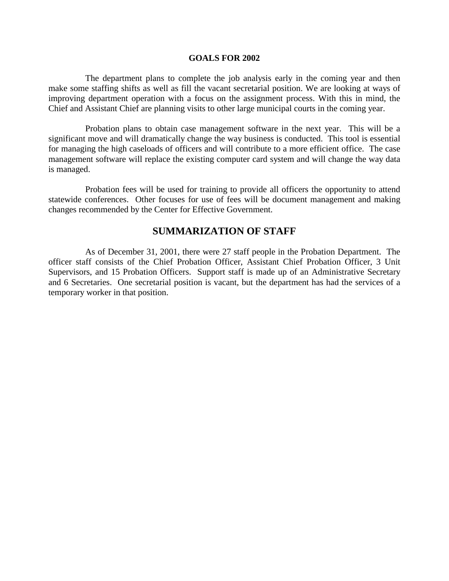#### **GOALS FOR 2002**

 The department plans to complete the job analysis early in the coming year and then make some staffing shifts as well as fill the vacant secretarial position. We are looking at ways of improving department operation with a focus on the assignment process. With this in mind, the Chief and Assistant Chief are planning visits to other large municipal courts in the coming year.

 Probation plans to obtain case management software in the next year. This will be a significant move and will dramatically change the way business is conducted. This tool is essential for managing the high caseloads of officers and will contribute to a more efficient office. The case management software will replace the existing computer card system and will change the way data is managed.

 Probation fees will be used for training to provide all officers the opportunity to attend statewide conferences. Other focuses for use of fees will be document management and making changes recommended by the Center for Effective Government.

## **SUMMARIZATION OF STAFF**

 As of December 31, 2001, there were 27 staff people in the Probation Department. The officer staff consists of the Chief Probation Officer, Assistant Chief Probation Officer, 3 Unit Supervisors, and 15 Probation Officers. Support staff is made up of an Administrative Secretary and 6 Secretaries. One secretarial position is vacant, but the department has had the services of a temporary worker in that position.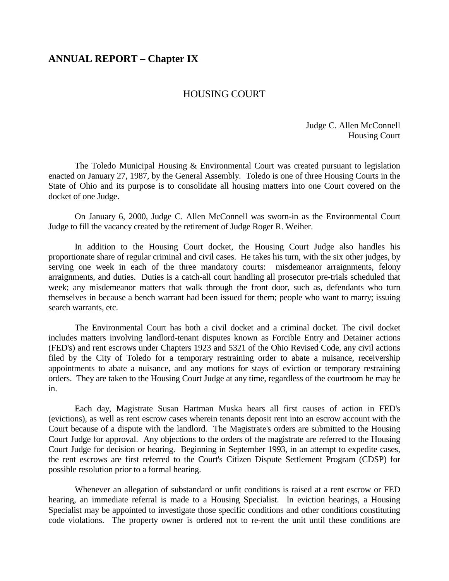## **ANNUAL REPORT – Chapter IX**

## HOUSING COURT

Judge C. Allen McConnell Housing Court

 The Toledo Municipal Housing & Environmental Court was created pursuant to legislation enacted on January 27, 1987, by the General Assembly. Toledo is one of three Housing Courts in the State of Ohio and its purpose is to consolidate all housing matters into one Court covered on the docket of one Judge.

 On January 6, 2000, Judge C. Allen McConnell was sworn-in as the Environmental Court Judge to fill the vacancy created by the retirement of Judge Roger R. Weiher.

 In addition to the Housing Court docket, the Housing Court Judge also handles his proportionate share of regular criminal and civil cases. He takes his turn, with the six other judges, by serving one week in each of the three mandatory courts: misdemeanor arraignments, felony arraignments, and duties. Duties is a catch-all court handling all prosecutor pre-trials scheduled that week; any misdemeanor matters that walk through the front door, such as, defendants who turn themselves in because a bench warrant had been issued for them; people who want to marry; issuing search warrants, etc.

 The Environmental Court has both a civil docket and a criminal docket. The civil docket includes matters involving landlord-tenant disputes known as Forcible Entry and Detainer actions (FED's) and rent escrows under Chapters 1923 and 5321 of the Ohio Revised Code, any civil actions filed by the City of Toledo for a temporary restraining order to abate a nuisance, receivership appointments to abate a nuisance, and any motions for stays of eviction or temporary restraining orders. They are taken to the Housing Court Judge at any time, regardless of the courtroom he may be in.

 Each day, Magistrate Susan Hartman Muska hears all first causes of action in FED's (evictions), as well as rent escrow cases wherein tenants deposit rent into an escrow account with the Court because of a dispute with the landlord. The Magistrate's orders are submitted to the Housing Court Judge for approval. Any objections to the orders of the magistrate are referred to the Housing Court Judge for decision or hearing. Beginning in September 1993, in an attempt to expedite cases, the rent escrows are first referred to the Court's Citizen Dispute Settlement Program (CDSP) for possible resolution prior to a formal hearing.

 Whenever an allegation of substandard or unfit conditions is raised at a rent escrow or FED hearing, an immediate referral is made to a Housing Specialist. In eviction hearings, a Housing Specialist may be appointed to investigate those specific conditions and other conditions constituting code violations. The property owner is ordered not to re-rent the unit until these conditions are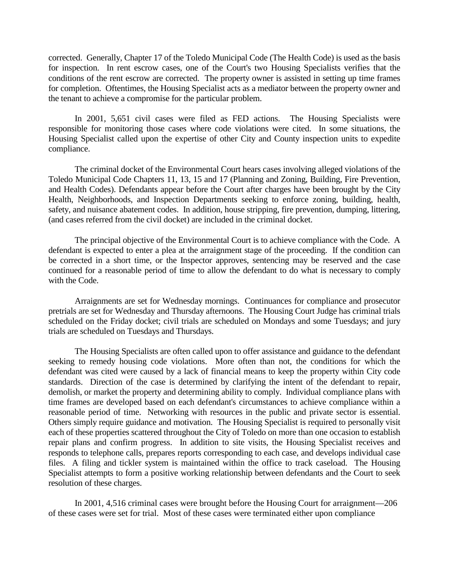corrected. Generally, Chapter 17 of the Toledo Municipal Code (The Health Code) is used as the basis for inspection. In rent escrow cases, one of the Court's two Housing Specialists verifies that the conditions of the rent escrow are corrected. The property owner is assisted in setting up time frames for completion. Oftentimes, the Housing Specialist acts as a mediator between the property owner and the tenant to achieve a compromise for the particular problem.

 In 2001, 5,651 civil cases were filed as FED actions. The Housing Specialists were responsible for monitoring those cases where code violations were cited. In some situations, the Housing Specialist called upon the expertise of other City and County inspection units to expedite compliance.

 The criminal docket of the Environmental Court hears cases involving alleged violations of the Toledo Municipal Code Chapters 11, 13, 15 and 17 (Planning and Zoning, Building, Fire Prevention, and Health Codes). Defendants appear before the Court after charges have been brought by the City Health, Neighborhoods, and Inspection Departments seeking to enforce zoning, building, health, safety, and nuisance abatement codes. In addition, house stripping, fire prevention, dumping, littering, (and cases referred from the civil docket) are included in the criminal docket.

 The principal objective of the Environmental Court is to achieve compliance with the Code. A defendant is expected to enter a plea at the arraignment stage of the proceeding. If the condition can be corrected in a short time, or the Inspector approves, sentencing may be reserved and the case continued for a reasonable period of time to allow the defendant to do what is necessary to comply with the Code.

 Arraignments are set for Wednesday mornings. Continuances for compliance and prosecutor pretrials are set for Wednesday and Thursday afternoons. The Housing Court Judge has criminal trials scheduled on the Friday docket; civil trials are scheduled on Mondays and some Tuesdays; and jury trials are scheduled on Tuesdays and Thursdays.

 The Housing Specialists are often called upon to offer assistance and guidance to the defendant seeking to remedy housing code violations. More often than not, the conditions for which the defendant was cited were caused by a lack of financial means to keep the property within City code standards. Direction of the case is determined by clarifying the intent of the defendant to repair, demolish, or market the property and determining ability to comply. Individual compliance plans with time frames are developed based on each defendant's circumstances to achieve compliance within a reasonable period of time. Networking with resources in the public and private sector is essential. Others simply require guidance and motivation. The Housing Specialist is required to personally visit each of these properties scattered throughout the City of Toledo on more than one occasion to establish repair plans and confirm progress. In addition to site visits, the Housing Specialist receives and responds to telephone calls, prepares reports corresponding to each case, and develops individual case files. A filing and tickler system is maintained within the office to track caseload. The Housing Specialist attempts to form a positive working relationship between defendants and the Court to seek resolution of these charges.

 In 2001, 4,516 criminal cases were brought before the Housing Court for arraignment—206 of these cases were set for trial. Most of these cases were terminated either upon compliance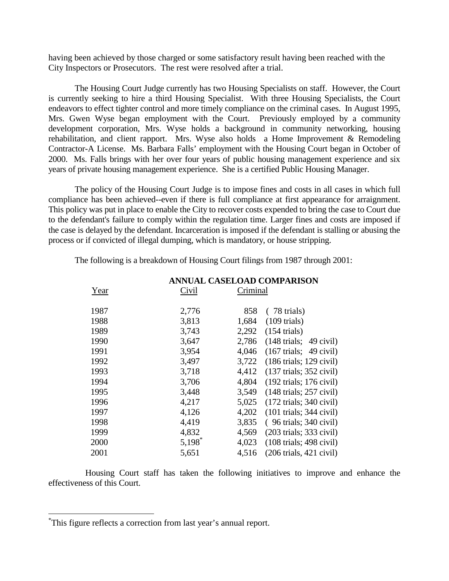having been achieved by those charged or some satisfactory result having been reached with the City Inspectors or Prosecutors. The rest were resolved after a trial.

 The Housing Court Judge currently has two Housing Specialists on staff. However, the Court is currently seeking to hire a third Housing Specialist. With three Housing Specialists, the Court endeavors to effect tighter control and more timely compliance on the criminal cases. In August 1995, Mrs. Gwen Wyse began employment with the Court. Previously employed by a community development corporation, Mrs. Wyse holds a background in community networking, housing rehabilitation, and client rapport. Mrs. Wyse also holds a Home Improvement & Remodeling Contractor-A License. Ms. Barbara Falls' employment with the Housing Court began in October of 2000. Ms. Falls brings with her over four years of public housing management experience and six years of private housing management experience. She is a certified Public Housing Manager.

 The policy of the Housing Court Judge is to impose fines and costs in all cases in which full compliance has been achieved--even if there is full compliance at first appearance for arraignment. This policy was put in place to enable the City to recover costs expended to bring the case to Court due to the defendant's failure to comply within the regulation time. Larger fines and costs are imposed if the case is delayed by the defendant. Incarceration is imposed if the defendant is stalling or abusing the process or if convicted of illegal dumping, which is mandatory, or house stripping.

The following is a breakdown of Housing Court filings from 1987 through 2001:

| Civil | Criminal                                           |
|-------|----------------------------------------------------|
| 2,776 | 858<br>$(78 \text{ trials})$                       |
| 3,813 | 1,684<br>$(109 \text{ trials})$                    |
| 3,743 | 2,292<br>$(154 \text{ trials})$                    |
| 3,647 | 2,786<br>$(148 \text{ trials}; 49 \text{ civil})$  |
| 3,954 | 4,046<br>$(167 \text{ trials}; 49 \text{ civil})$  |
| 3,497 | 3,722<br>$(186 \text{ trials}; 129 \text{ civil})$ |
| 3,718 | 4,412<br>$(137 \text{ trials}; 352 \text{ civil})$ |
| 3,706 | 4,804<br>$(192 \text{ trials}; 176 \text{ civil})$ |
| 3,448 | 3,549<br>$(148 \text{ trials}; 257 \text{ civil})$ |
| 4,217 | 5,025<br>$(172 \text{ trials}; 340 \text{ civil})$ |
| 4,126 | 4,202<br>$(101 \text{ trials}; 344 \text{ civil})$ |
| 4,419 | 3,835<br>$(96 \text{ trials}; 340 \text{ civil})$  |
| 4,832 | 4,569<br>$(203 \text{ trials}; 333 \text{ civil})$ |
| 5,198 | 4,023<br>$(108 \text{ trials}; 498 \text{ civil})$ |
| 5,651 | 4,516<br>$(206 \text{ trials}, 421 \text{ civil})$ |
|       |                                                    |

 **ANNUAL CASELOAD COMPARISON**

 Housing Court staff has taken the following initiatives to improve and enhance the effectiveness of this Court.

 $\overline{a}$ 

<sup>\*</sup> This figure reflects a correction from last year's annual report.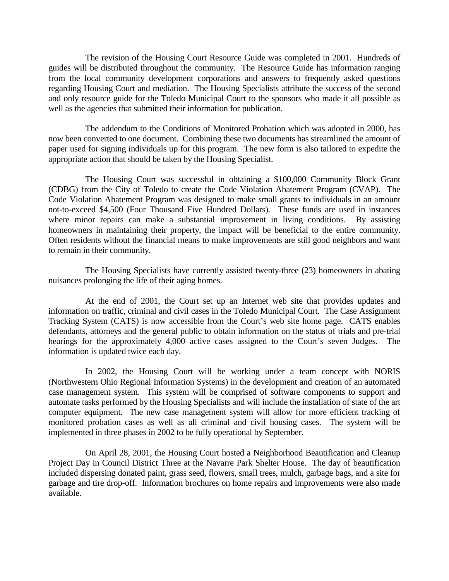The revision of the Housing Court Resource Guide was completed in 2001. Hundreds of guides will be distributed throughout the community. The Resource Guide has information ranging from the local community development corporations and answers to frequently asked questions regarding Housing Court and mediation. The Housing Specialists attribute the success of the second and only resource guide for the Toledo Municipal Court to the sponsors who made it all possible as well as the agencies that submitted their information for publication.

 The addendum to the Conditions of Monitored Probation which was adopted in 2000, has now been converted to one document. Combining these two documents has streamlined the amount of paper used for signing individuals up for this program. The new form is also tailored to expedite the appropriate action that should be taken by the Housing Specialist.

 The Housing Court was successful in obtaining a \$100,000 Community Block Grant (CDBG) from the City of Toledo to create the Code Violation Abatement Program (CVAP). The Code Violation Abatement Program was designed to make small grants to individuals in an amount not-to-exceed \$4,500 (Four Thousand Five Hundred Dollars). These funds are used in instances where minor repairs can make a substantial improvement in living conditions. By assisting homeowners in maintaining their property, the impact will be beneficial to the entire community. Often residents without the financial means to make improvements are still good neighbors and want to remain in their community.

 The Housing Specialists have currently assisted twenty-three (23) homeowners in abating nuisances prolonging the life of their aging homes.

 At the end of 2001, the Court set up an Internet web site that provides updates and information on traffic, criminal and civil cases in the Toledo Municipal Court. The Case Assignment Tracking System (CATS) is now accessible from the Court's web site home page. CATS enables defendants, attorneys and the general public to obtain information on the status of trials and pre-trial hearings for the approximately 4,000 active cases assigned to the Court's seven Judges. The information is updated twice each day.

 In 2002, the Housing Court will be working under a team concept with NORIS (Northwestern Ohio Regional Information Systems) in the development and creation of an automated case management system. This system will be comprised of software components to support and automate tasks performed by the Housing Specialists and will include the installation of state of the art computer equipment. The new case management system will allow for more efficient tracking of monitored probation cases as well as all criminal and civil housing cases. The system will be implemented in three phases in 2002 to be fully operational by September.

 On April 28, 2001, the Housing Court hosted a Neighborhood Beautification and Cleanup Project Day in Council District Three at the Navarre Park Shelter House. The day of beautification included dispersing donated paint, grass seed, flowers, small trees, mulch, garbage bags, and a site for garbage and tire drop-off. Information brochures on home repairs and improvements were also made available.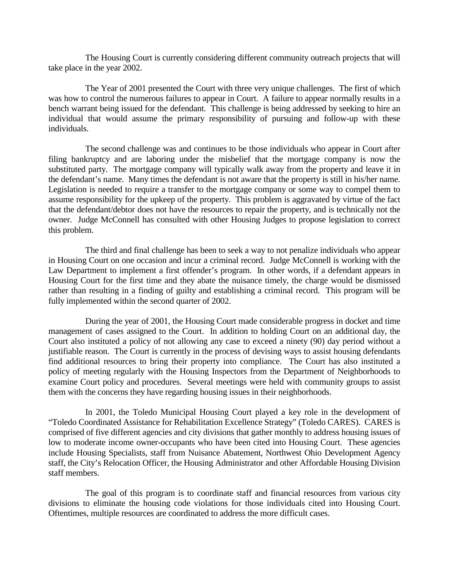The Housing Court is currently considering different community outreach projects that will take place in the year 2002.

 The Year of 2001 presented the Court with three very unique challenges. The first of which was how to control the numerous failures to appear in Court. A failure to appear normally results in a bench warrant being issued for the defendant. This challenge is being addressed by seeking to hire an individual that would assume the primary responsibility of pursuing and follow-up with these individuals.

 The second challenge was and continues to be those individuals who appear in Court after filing bankruptcy and are laboring under the misbelief that the mortgage company is now the substituted party. The mortgage company will typically walk away from the property and leave it in the defendant's name. Many times the defendant is not aware that the property is still in his/her name. Legislation is needed to require a transfer to the mortgage company or some way to compel them to assume responsibility for the upkeep of the property. This problem is aggravated by virtue of the fact that the defendant/debtor does not have the resources to repair the property, and is technically not the owner. Judge McConnell has consulted with other Housing Judges to propose legislation to correct this problem.

 The third and final challenge has been to seek a way to not penalize individuals who appear in Housing Court on one occasion and incur a criminal record. Judge McConnell is working with the Law Department to implement a first offender's program. In other words, if a defendant appears in Housing Court for the first time and they abate the nuisance timely, the charge would be dismissed rather than resulting in a finding of guilty and establishing a criminal record. This program will be fully implemented within the second quarter of 2002.

 During the year of 2001, the Housing Court made considerable progress in docket and time management of cases assigned to the Court. In addition to holding Court on an additional day, the Court also instituted a policy of not allowing any case to exceed a ninety (90) day period without a justifiable reason. The Court is currently in the process of devising ways to assist housing defendants find additional resources to bring their property into compliance. The Court has also instituted a policy of meeting regularly with the Housing Inspectors from the Department of Neighborhoods to examine Court policy and procedures. Several meetings were held with community groups to assist them with the concerns they have regarding housing issues in their neighborhoods.

 In 2001, the Toledo Municipal Housing Court played a key role in the development of "Toledo Coordinated Assistance for Rehabilitation Excellence Strategy" (Toledo CARES). CARES is comprised of five different agencies and city divisions that gather monthly to address housing issues of low to moderate income owner-occupants who have been cited into Housing Court. These agencies include Housing Specialists, staff from Nuisance Abatement, Northwest Ohio Development Agency staff, the City's Relocation Officer, the Housing Administrator and other Affordable Housing Division staff members.

 The goal of this program is to coordinate staff and financial resources from various city divisions to eliminate the housing code violations for those individuals cited into Housing Court. Oftentimes, multiple resources are coordinated to address the more difficult cases.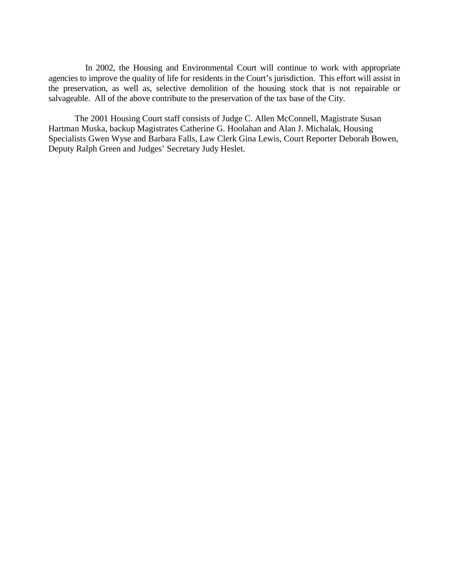In 2002, the Housing and Environmental Court will continue to work with appropriate agencies to improve the quality of life for residents in the Court's jurisdiction. This effort will assist in the preservation, as well as, selective demolition of the housing stock that is not repairable or salvageable. All of the above contribute to the preservation of the tax base of the City.

 The 2001 Housing Court staff consists of Judge C. Allen McConnell, Magistrate Susan Hartman Muska, backup Magistrates Catherine G. Hoolahan and Alan J. Michalak, Housing Specialists Gwen Wyse and Barbara Falls, Law Clerk Gina Lewis, Court Reporter Deborah Bowen, Deputy Ralph Green and Judges' Secretary Judy Heslet.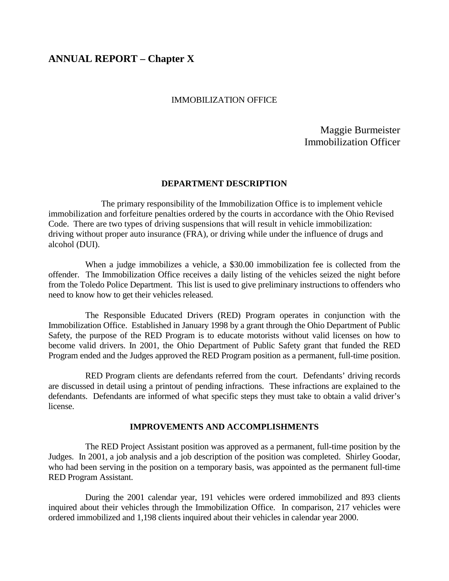# **ANNUAL REPORT – Chapter X**

#### IMMOBILIZATION OFFICE

Maggie Burmeister Immobilization Officer

#### **DEPARTMENT DESCRIPTION**

 The primary responsibility of the Immobilization Office is to implement vehicle immobilization and forfeiture penalties ordered by the courts in accordance with the Ohio Revised Code. There are two types of driving suspensions that will result in vehicle immobilization: driving without proper auto insurance (FRA), or driving while under the influence of drugs and alcohol (DUI).

 When a judge immobilizes a vehicle, a \$30.00 immobilization fee is collected from the offender. The Immobilization Office receives a daily listing of the vehicles seized the night before from the Toledo Police Department. This list is used to give preliminary instructions to offenders who need to know how to get their vehicles released.

 The Responsible Educated Drivers (RED) Program operates in conjunction with the Immobilization Office. Established in January 1998 by a grant through the Ohio Department of Public Safety, the purpose of the RED Program is to educate motorists without valid licenses on how to become valid drivers. In 2001, the Ohio Department of Public Safety grant that funded the RED Program ended and the Judges approved the RED Program position as a permanent, full-time position.

 RED Program clients are defendants referred from the court. Defendants' driving records are discussed in detail using a printout of pending infractions. These infractions are explained to the defendants. Defendants are informed of what specific steps they must take to obtain a valid driver's license.

#### **IMPROVEMENTS AND ACCOMPLISHMENTS**

 The RED Project Assistant position was approved as a permanent, full-time position by the Judges. In 2001, a job analysis and a job description of the position was completed. Shirley Goodar, who had been serving in the position on a temporary basis, was appointed as the permanent full-time RED Program Assistant.

 During the 2001 calendar year, 191 vehicles were ordered immobilized and 893 clients inquired about their vehicles through the Immobilization Office. In comparison, 217 vehicles were ordered immobilized and 1,198 clients inquired about their vehicles in calendar year 2000.